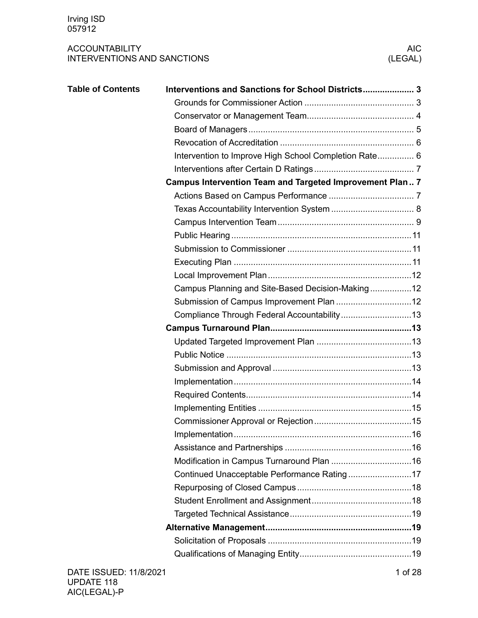| <b>Table of Contents</b> | Interventions and Sanctions for School Districts 3<br>Intervention to Improve High School Completion Rate 6<br>Campus Intervention Team and Targeted Improvement Plan 7 |  |
|--------------------------|-------------------------------------------------------------------------------------------------------------------------------------------------------------------------|--|
|                          |                                                                                                                                                                         |  |
|                          |                                                                                                                                                                         |  |
|                          |                                                                                                                                                                         |  |
|                          |                                                                                                                                                                         |  |
|                          |                                                                                                                                                                         |  |
|                          |                                                                                                                                                                         |  |
|                          |                                                                                                                                                                         |  |
|                          | Campus Planning and Site-Based Decision-Making12                                                                                                                        |  |
|                          |                                                                                                                                                                         |  |
|                          |                                                                                                                                                                         |  |
|                          |                                                                                                                                                                         |  |
|                          |                                                                                                                                                                         |  |
|                          |                                                                                                                                                                         |  |
|                          |                                                                                                                                                                         |  |
|                          |                                                                                                                                                                         |  |
|                          |                                                                                                                                                                         |  |
|                          |                                                                                                                                                                         |  |
|                          |                                                                                                                                                                         |  |
|                          |                                                                                                                                                                         |  |
|                          |                                                                                                                                                                         |  |
|                          |                                                                                                                                                                         |  |
|                          |                                                                                                                                                                         |  |
|                          |                                                                                                                                                                         |  |
|                          |                                                                                                                                                                         |  |
|                          |                                                                                                                                                                         |  |
|                          |                                                                                                                                                                         |  |
|                          |                                                                                                                                                                         |  |
|                          |                                                                                                                                                                         |  |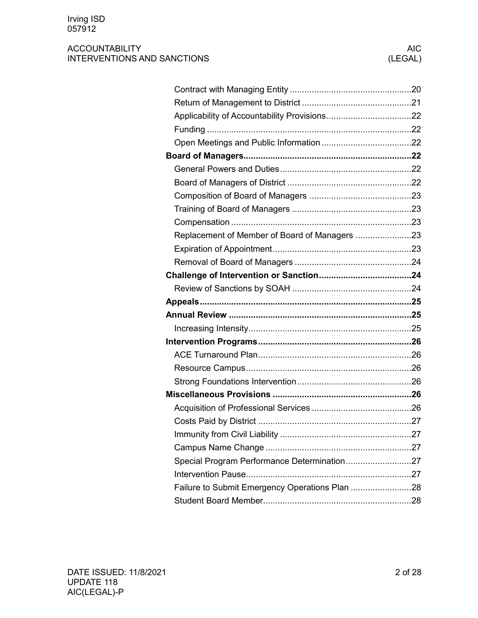| Replacement of Member of Board of Managers 23  |  |
|------------------------------------------------|--|
|                                                |  |
|                                                |  |
|                                                |  |
|                                                |  |
|                                                |  |
|                                                |  |
|                                                |  |
|                                                |  |
|                                                |  |
|                                                |  |
|                                                |  |
|                                                |  |
|                                                |  |
|                                                |  |
|                                                |  |
|                                                |  |
|                                                |  |
| Special Program Performance Determination27    |  |
|                                                |  |
| Failure to Submit Emergency Operations Plan 28 |  |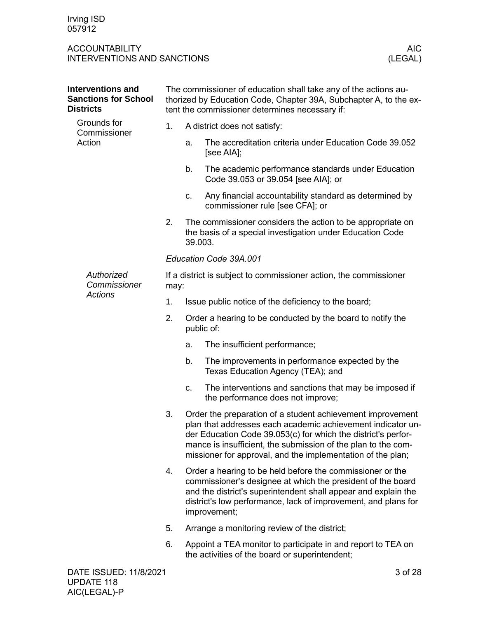<span id="page-2-1"></span><span id="page-2-0"></span>

| <b>Interventions and</b><br><b>Sanctions for School</b><br><b>Districts</b> | The commissioner of education shall take any of the actions au-<br>thorized by Education Code, Chapter 39A, Subchapter A, to the ex-<br>tent the commissioner determines necessary if: |            |                                                                                                                                                                                                                                                                                                                            |
|-----------------------------------------------------------------------------|----------------------------------------------------------------------------------------------------------------------------------------------------------------------------------------|------------|----------------------------------------------------------------------------------------------------------------------------------------------------------------------------------------------------------------------------------------------------------------------------------------------------------------------------|
| Grounds for<br>Commissioner                                                 | 1.                                                                                                                                                                                     |            | A district does not satisfy:                                                                                                                                                                                                                                                                                               |
| Action                                                                      |                                                                                                                                                                                        | a.         | The accreditation criteria under Education Code 39.052<br>[see AIA];                                                                                                                                                                                                                                                       |
|                                                                             |                                                                                                                                                                                        | b.         | The academic performance standards under Education<br>Code 39.053 or 39.054 [see AIA]; or                                                                                                                                                                                                                                  |
|                                                                             |                                                                                                                                                                                        | c.         | Any financial accountability standard as determined by<br>commissioner rule [see CFA]; or                                                                                                                                                                                                                                  |
|                                                                             | 2.                                                                                                                                                                                     | 39.003.    | The commissioner considers the action to be appropriate on<br>the basis of a special investigation under Education Code                                                                                                                                                                                                    |
|                                                                             |                                                                                                                                                                                        |            | Education Code 39A.001                                                                                                                                                                                                                                                                                                     |
| Authorized<br>Commissioner                                                  | may:                                                                                                                                                                                   |            | If a district is subject to commissioner action, the commissioner                                                                                                                                                                                                                                                          |
| Actions                                                                     | 1.                                                                                                                                                                                     |            | Issue public notice of the deficiency to the board;                                                                                                                                                                                                                                                                        |
|                                                                             | 2.                                                                                                                                                                                     | public of: | Order a hearing to be conducted by the board to notify the                                                                                                                                                                                                                                                                 |
|                                                                             |                                                                                                                                                                                        | a.         | The insufficient performance;                                                                                                                                                                                                                                                                                              |
|                                                                             |                                                                                                                                                                                        | b.         | The improvements in performance expected by the<br>Texas Education Agency (TEA); and                                                                                                                                                                                                                                       |
|                                                                             |                                                                                                                                                                                        | c.         | The interventions and sanctions that may be imposed if<br>the performance does not improve;                                                                                                                                                                                                                                |
|                                                                             | 3.                                                                                                                                                                                     |            | Order the preparation of a student achievement improvement<br>plan that addresses each academic achievement indicator un-<br>der Education Code 39.053(c) for which the district's perfor-<br>mance is insufficient, the submission of the plan to the com-<br>missioner for approval, and the implementation of the plan; |
|                                                                             | 4.                                                                                                                                                                                     |            | Order a hearing to be held before the commissioner or the<br>commissioner's designee at which the president of the board<br>and the district's superintendent shall appear and explain the<br>district's low performance, lack of improvement, and plans for<br>improvement;                                               |
|                                                                             | 5.                                                                                                                                                                                     |            | Arrange a monitoring review of the district;                                                                                                                                                                                                                                                                               |
|                                                                             | 6.                                                                                                                                                                                     |            | Appoint a TEA monitor to participate in and report to TEA on<br>the activities of the board or superintendent;                                                                                                                                                                                                             |
| DATE ISSUED: 11/8/2021                                                      |                                                                                                                                                                                        |            | 3 of 28                                                                                                                                                                                                                                                                                                                    |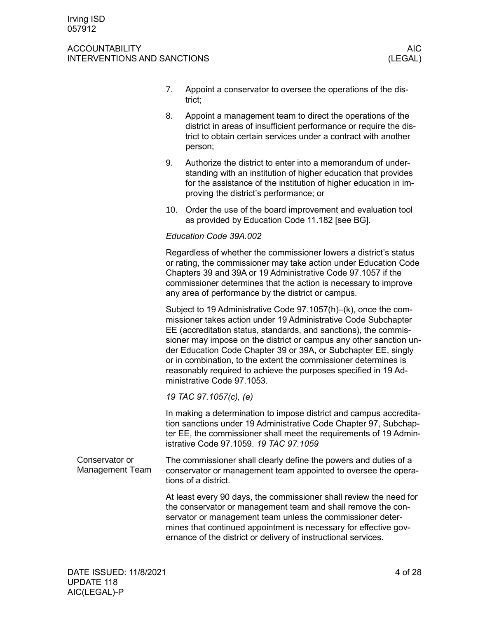#### ACCOUNTABILITY AIC ACCOUNTABILITY INTERVENTIONS AND SANCTIONS (LEGAL)

- 7. Appoint a conservator to oversee the operations of the district;
- 8. Appoint a management team to direct the operations of the district in areas of insufficient performance or require the district to obtain certain services under a contract with another person;
- 9. Authorize the district to enter into a memorandum of understanding with an institution of higher education that provides for the assistance of the institution of higher education in improving the district's performance; or
- 10. Order the use of the board improvement and evaluation tool as provided by Education Code 11.182 [see BG].

### *Education Code 39A.002*

Regardless of whether the commissioner lowers a district's status or rating, the commissioner may take action under Education Code Chapters 39 and 39A or 19 Administrative Code 97.1057 if the commissioner determines that the action is necessary to improve any area of performance by the district or campus.

Subject to 19 Administrative Code 97.1057(h)–(k), once the commissioner takes action under 19 Administrative Code Subchapter EE (accreditation status, standards, and sanctions), the commissioner may impose on the district or campus any other sanction under Education Code Chapter 39 or 39A, or Subchapter EE, singly or in combination, to the extent the commissioner determines is reasonably required to achieve the purposes specified in 19 Administrative Code 97.1053.

*19 TAC 97.1057(c), (e)*

In making a determination to impose district and campus accreditation sanctions under 19 Administrative Code Chapter 97, Subchapter EE, the commissioner shall meet the requirements of 19 Administrative Code 97.1059. *19 TAC 97.1059*

<span id="page-3-0"></span>The commissioner shall clearly define the powers and duties of a conservator or management team appointed to oversee the operations of a district. Conservator or Management Team

> At least every 90 days, the commissioner shall review the need for the conservator or management team and shall remove the conservator or management team unless the commissioner determines that continued appointment is necessary for effective governance of the district or delivery of instructional services.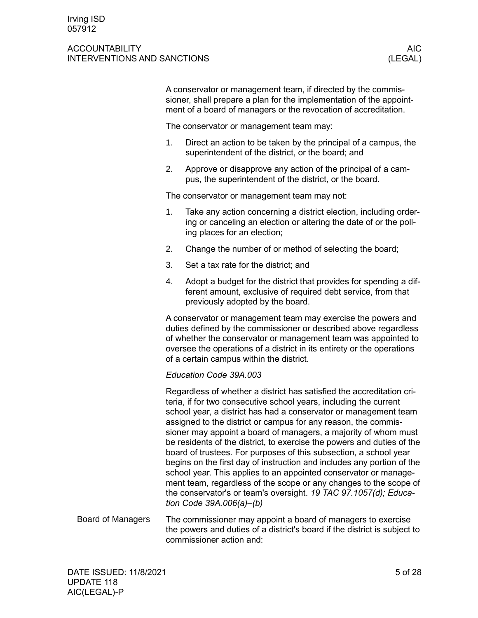#### ACCOUNTABILITY AIC ACCOUNTABILITY INTERVENTIONS AND SANCTIONS (LEGAL)

A conservator or management team, if directed by the commissioner, shall prepare a plan for the implementation of the appointment of a board of managers or the revocation of accreditation.

The conservator or management team may:

- 1. Direct an action to be taken by the principal of a campus, the superintendent of the district, or the board; and
- 2. Approve or disapprove any action of the principal of a campus, the superintendent of the district, or the board.

The conservator or management team may not:

- 1. Take any action concerning a district election, including ordering or canceling an election or altering the date of or the polling places for an election;
- 2. Change the number of or method of selecting the board;
- 3. Set a tax rate for the district; and
- 4. Adopt a budget for the district that provides for spending a different amount, exclusive of required debt service, from that previously adopted by the board.

A conservator or management team may exercise the powers and duties defined by the commissioner or described above regardless of whether the conservator or management team was appointed to oversee the operations of a district in its entirety or the operations of a certain campus within the district.

### *Education Code 39A.003*

Regardless of whether a district has satisfied the accreditation criteria, if for two consecutive school years, including the current school year, a district has had a conservator or management team assigned to the district or campus for any reason, the commissioner may appoint a board of managers, a majority of whom must be residents of the district, to exercise the powers and duties of the board of trustees. For purposes of this subsection, a school year begins on the first day of instruction and includes any portion of the school year. This applies to an appointed conservator or management team, regardless of the scope or any changes to the scope of the conservator's or team's oversight. *19 TAC 97.1057(d); Education Code 39A.006(a)–(b)* The commissioner may appoint a board of managers to exercise Board of Managers

<span id="page-4-0"></span>the powers and duties of a district's board if the district is subject to commissioner action and: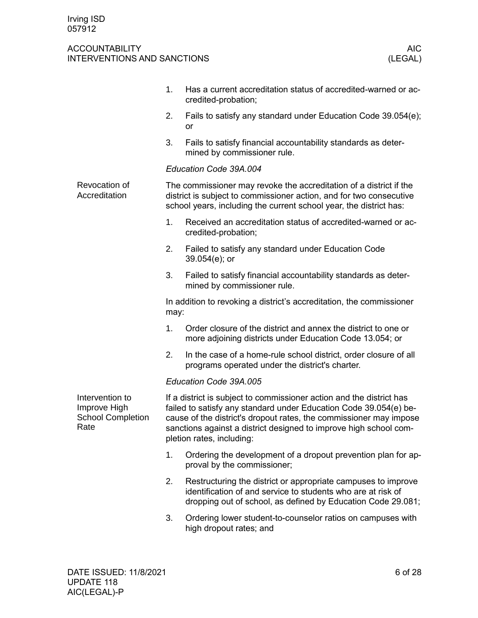<span id="page-5-1"></span><span id="page-5-0"></span>

|                                                                     | 1.   | Has a current accreditation status of accredited-warned or ac-<br>credited-probation;                                                                                                                                                                                                                             |
|---------------------------------------------------------------------|------|-------------------------------------------------------------------------------------------------------------------------------------------------------------------------------------------------------------------------------------------------------------------------------------------------------------------|
|                                                                     | 2.   | Fails to satisfy any standard under Education Code 39.054(e);<br><b>or</b>                                                                                                                                                                                                                                        |
|                                                                     | 3.   | Fails to satisfy financial accountability standards as deter-<br>mined by commissioner rule.                                                                                                                                                                                                                      |
|                                                                     |      | Education Code 39A.004                                                                                                                                                                                                                                                                                            |
| Revocation of<br>Accreditation                                      |      | The commissioner may revoke the accreditation of a district if the<br>district is subject to commissioner action, and for two consecutive<br>school years, including the current school year, the district has:                                                                                                   |
|                                                                     | 1.   | Received an accreditation status of accredited-warned or ac-<br>credited-probation;                                                                                                                                                                                                                               |
|                                                                     | 2.   | Failed to satisfy any standard under Education Code<br>$39.054(e)$ ; or                                                                                                                                                                                                                                           |
|                                                                     | 3.   | Failed to satisfy financial accountability standards as deter-<br>mined by commissioner rule.                                                                                                                                                                                                                     |
|                                                                     | may: | In addition to revoking a district's accreditation, the commissioner                                                                                                                                                                                                                                              |
|                                                                     | 1.   | Order closure of the district and annex the district to one or<br>more adjoining districts under Education Code 13.054; or                                                                                                                                                                                        |
|                                                                     | 2.   | In the case of a home-rule school district, order closure of all<br>programs operated under the district's charter.                                                                                                                                                                                               |
|                                                                     |      | Education Code 39A.005                                                                                                                                                                                                                                                                                            |
| Intervention to<br>Improve High<br><b>School Completion</b><br>Rate |      | If a district is subject to commissioner action and the district has<br>failed to satisfy any standard under Education Code 39.054(e) be-<br>cause of the district's dropout rates, the commissioner may impose<br>sanctions against a district designed to improve high school com-<br>pletion rates, including: |
|                                                                     | 1.   | Ordering the development of a dropout prevention plan for ap-<br>proval by the commissioner;                                                                                                                                                                                                                      |
|                                                                     | 2.   | Restructuring the district or appropriate campuses to improve<br>identification of and service to students who are at risk of<br>dropping out of school, as defined by Education Code 29.081;                                                                                                                     |
|                                                                     | 3.   | Ordering lower student-to-counselor ratios on campuses with<br>high dropout rates; and                                                                                                                                                                                                                            |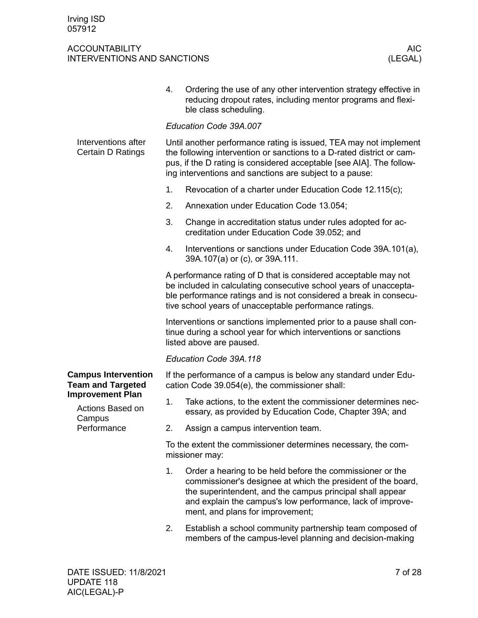<span id="page-6-2"></span><span id="page-6-1"></span><span id="page-6-0"></span>

|                                                                                                                                | 4.                                                                                                                                                                                                                                                                            | Ordering the use of any other intervention strategy effective in<br>reducing dropout rates, including mentor programs and flexi-<br>ble class scheduling.                                                                                                                                |  |  |  |  |  |
|--------------------------------------------------------------------------------------------------------------------------------|-------------------------------------------------------------------------------------------------------------------------------------------------------------------------------------------------------------------------------------------------------------------------------|------------------------------------------------------------------------------------------------------------------------------------------------------------------------------------------------------------------------------------------------------------------------------------------|--|--|--|--|--|
|                                                                                                                                |                                                                                                                                                                                                                                                                               | Education Code 39A.007                                                                                                                                                                                                                                                                   |  |  |  |  |  |
| Interventions after<br>Certain D Ratings                                                                                       | Until another performance rating is issued, TEA may not implement<br>the following intervention or sanctions to a D-rated district or cam-<br>pus, if the D rating is considered acceptable [see AIA]. The follow-<br>ing interventions and sanctions are subject to a pause: |                                                                                                                                                                                                                                                                                          |  |  |  |  |  |
|                                                                                                                                | 1.                                                                                                                                                                                                                                                                            | Revocation of a charter under Education Code 12.115(c);                                                                                                                                                                                                                                  |  |  |  |  |  |
|                                                                                                                                | 2.                                                                                                                                                                                                                                                                            | Annexation under Education Code 13.054;                                                                                                                                                                                                                                                  |  |  |  |  |  |
|                                                                                                                                | 3.                                                                                                                                                                                                                                                                            | Change in accreditation status under rules adopted for ac-<br>creditation under Education Code 39.052; and                                                                                                                                                                               |  |  |  |  |  |
|                                                                                                                                | 4.                                                                                                                                                                                                                                                                            | Interventions or sanctions under Education Code 39A.101(a),<br>39A.107(a) or (c), or 39A.111.                                                                                                                                                                                            |  |  |  |  |  |
|                                                                                                                                | A performance rating of D that is considered acceptable may not<br>be included in calculating consecutive school years of unaccepta-<br>ble performance ratings and is not considered a break in consecu-<br>tive school years of unacceptable performance ratings.           |                                                                                                                                                                                                                                                                                          |  |  |  |  |  |
|                                                                                                                                | Interventions or sanctions implemented prior to a pause shall con-<br>tinue during a school year for which interventions or sanctions<br>listed above are paused.                                                                                                             |                                                                                                                                                                                                                                                                                          |  |  |  |  |  |
|                                                                                                                                |                                                                                                                                                                                                                                                                               | Education Code 39A.118                                                                                                                                                                                                                                                                   |  |  |  |  |  |
| <b>Campus Intervention</b><br><b>Team and Targeted</b><br><b>Improvement Plan</b><br>Actions Based on<br>Campus<br>Performance | If the performance of a campus is below any standard under Edu-<br>cation Code 39.054(e), the commissioner shall:                                                                                                                                                             |                                                                                                                                                                                                                                                                                          |  |  |  |  |  |
|                                                                                                                                | 1.                                                                                                                                                                                                                                                                            | Take actions, to the extent the commissioner determines nec-<br>essary, as provided by Education Code, Chapter 39A; and                                                                                                                                                                  |  |  |  |  |  |
|                                                                                                                                | 2.                                                                                                                                                                                                                                                                            | Assign a campus intervention team.                                                                                                                                                                                                                                                       |  |  |  |  |  |
|                                                                                                                                | To the extent the commissioner determines necessary, the com-<br>missioner may:                                                                                                                                                                                               |                                                                                                                                                                                                                                                                                          |  |  |  |  |  |
|                                                                                                                                | 1.                                                                                                                                                                                                                                                                            | Order a hearing to be held before the commissioner or the<br>commissioner's designee at which the president of the board,<br>the superintendent, and the campus principal shall appear<br>and explain the campus's low performance, lack of improve-<br>ment, and plans for improvement; |  |  |  |  |  |
|                                                                                                                                | 2.                                                                                                                                                                                                                                                                            | Establish a school community partnership team composed of<br>members of the campus-level planning and decision-making                                                                                                                                                                    |  |  |  |  |  |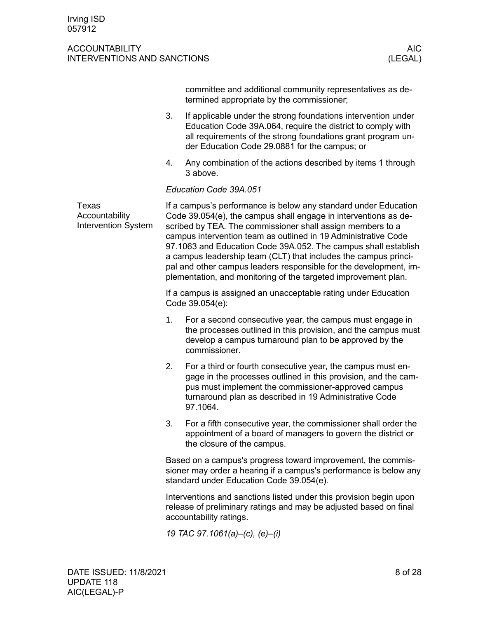<span id="page-7-0"></span>

|                                                       |                                | committee and additional community representatives as de-<br>termined appropriate by the commissioner;                                                                                                                                                                                                                                                                                                                                                                                                                                         |  |  |  |
|-------------------------------------------------------|--------------------------------|------------------------------------------------------------------------------------------------------------------------------------------------------------------------------------------------------------------------------------------------------------------------------------------------------------------------------------------------------------------------------------------------------------------------------------------------------------------------------------------------------------------------------------------------|--|--|--|
|                                                       | 3.                             | If applicable under the strong foundations intervention under<br>Education Code 39A.064, require the district to comply with<br>all requirements of the strong foundations grant program un-<br>der Education Code 29.0881 for the campus; or                                                                                                                                                                                                                                                                                                  |  |  |  |
|                                                       | 4.                             | Any combination of the actions described by items 1 through<br>3 above.                                                                                                                                                                                                                                                                                                                                                                                                                                                                        |  |  |  |
|                                                       |                                | Education Code 39A.051                                                                                                                                                                                                                                                                                                                                                                                                                                                                                                                         |  |  |  |
| Texas<br>Accountability<br><b>Intervention System</b> |                                | If a campus's performance is below any standard under Education<br>Code 39.054(e), the campus shall engage in interventions as de-<br>scribed by TEA. The commissioner shall assign members to a<br>campus intervention team as outlined in 19 Administrative Code<br>97.1063 and Education Code 39A.052. The campus shall establish<br>a campus leadership team (CLT) that includes the campus princi-<br>pal and other campus leaders responsible for the development, im-<br>plementation, and monitoring of the targeted improvement plan. |  |  |  |
|                                                       |                                | If a campus is assigned an unacceptable rating under Education<br>Code 39.054(e):                                                                                                                                                                                                                                                                                                                                                                                                                                                              |  |  |  |
|                                                       | 1.                             | For a second consecutive year, the campus must engage in<br>the processes outlined in this provision, and the campus must<br>develop a campus turnaround plan to be approved by the<br>commissioner.                                                                                                                                                                                                                                                                                                                                           |  |  |  |
|                                                       | 2.                             | For a third or fourth consecutive year, the campus must en-<br>gage in the processes outlined in this provision, and the cam-<br>pus must implement the commissioner-approved campus<br>turnaround plan as described in 19 Administrative Code<br>97.1064.                                                                                                                                                                                                                                                                                     |  |  |  |
|                                                       | 3.                             | For a fifth consecutive year, the commissioner shall order the<br>appointment of a board of managers to govern the district or<br>the closure of the campus.                                                                                                                                                                                                                                                                                                                                                                                   |  |  |  |
|                                                       |                                | Based on a campus's progress toward improvement, the commis-<br>sioner may order a hearing if a campus's performance is below any<br>standard under Education Code 39.054(e).                                                                                                                                                                                                                                                                                                                                                                  |  |  |  |
|                                                       |                                | Interventions and sanctions listed under this provision begin upon<br>release of preliminary ratings and may be adjusted based on final<br>accountability ratings.                                                                                                                                                                                                                                                                                                                                                                             |  |  |  |
|                                                       | 19 TAC 97.1061(a)-(c), (e)-(i) |                                                                                                                                                                                                                                                                                                                                                                                                                                                                                                                                                |  |  |  |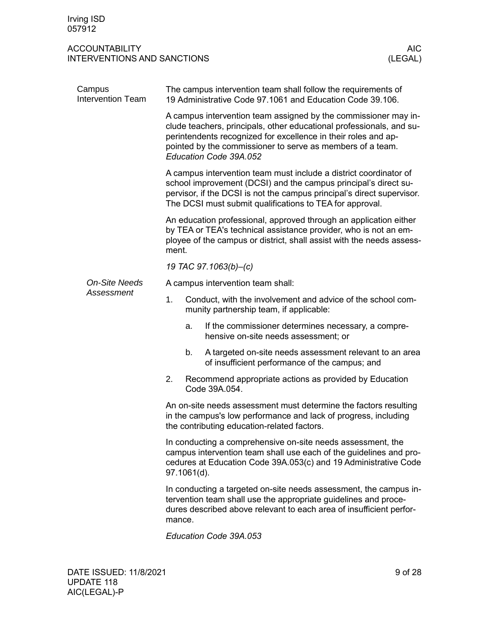<span id="page-8-0"></span>

| Campus<br><b>Intervention Team</b> | The campus intervention team shall follow the requirements of<br>19 Administrative Code 97.1061 and Education Code 39.106.                                                                                                                                                                        |                                                                                                                                                                                    |                                                                                                           |  |  |  |
|------------------------------------|---------------------------------------------------------------------------------------------------------------------------------------------------------------------------------------------------------------------------------------------------------------------------------------------------|------------------------------------------------------------------------------------------------------------------------------------------------------------------------------------|-----------------------------------------------------------------------------------------------------------|--|--|--|
|                                    | A campus intervention team assigned by the commissioner may in-<br>clude teachers, principals, other educational professionals, and su-<br>perintendents recognized for excellence in their roles and ap-<br>pointed by the commissioner to serve as members of a team.<br>Education Code 39A.052 |                                                                                                                                                                                    |                                                                                                           |  |  |  |
|                                    | A campus intervention team must include a district coordinator of<br>school improvement (DCSI) and the campus principal's direct su-<br>pervisor, if the DCSI is not the campus principal's direct supervisor.<br>The DCSI must submit qualifications to TEA for approval.                        |                                                                                                                                                                                    |                                                                                                           |  |  |  |
|                                    | An education professional, approved through an application either<br>by TEA or TEA's technical assistance provider, who is not an em-<br>ployee of the campus or district, shall assist with the needs assess-<br>ment.                                                                           |                                                                                                                                                                                    |                                                                                                           |  |  |  |
|                                    | 19 TAC 97.1063(b)-(c)                                                                                                                                                                                                                                                                             |                                                                                                                                                                                    |                                                                                                           |  |  |  |
| <b>On-Site Needs</b>               | A campus intervention team shall:                                                                                                                                                                                                                                                                 |                                                                                                                                                                                    |                                                                                                           |  |  |  |
| Assessment                         | 1.                                                                                                                                                                                                                                                                                                |                                                                                                                                                                                    | Conduct, with the involvement and advice of the school com-<br>munity partnership team, if applicable:    |  |  |  |
|                                    |                                                                                                                                                                                                                                                                                                   | a.                                                                                                                                                                                 | If the commissioner determines necessary, a compre-<br>hensive on-site needs assessment; or               |  |  |  |
|                                    |                                                                                                                                                                                                                                                                                                   | b.                                                                                                                                                                                 | A targeted on-site needs assessment relevant to an area<br>of insufficient performance of the campus; and |  |  |  |
|                                    | 2.                                                                                                                                                                                                                                                                                                |                                                                                                                                                                                    | Recommend appropriate actions as provided by Education<br>Code 39A.054.                                   |  |  |  |
|                                    |                                                                                                                                                                                                                                                                                                   | An on-site needs assessment must determine the factors resulting<br>in the campus's low performance and lack of progress, including<br>the contributing education-related factors. |                                                                                                           |  |  |  |
|                                    | In conducting a comprehensive on-site needs assessment, the<br>campus intervention team shall use each of the guidelines and pro-<br>cedures at Education Code 39A.053(c) and 19 Administrative Code<br>97.1061(d).                                                                               |                                                                                                                                                                                    |                                                                                                           |  |  |  |
|                                    | In conducting a targeted on-site needs assessment, the campus in-<br>tervention team shall use the appropriate guidelines and proce-<br>dures described above relevant to each area of insufficient perfor-<br>mance.                                                                             |                                                                                                                                                                                    |                                                                                                           |  |  |  |
|                                    | Education Code 39A.053                                                                                                                                                                                                                                                                            |                                                                                                                                                                                    |                                                                                                           |  |  |  |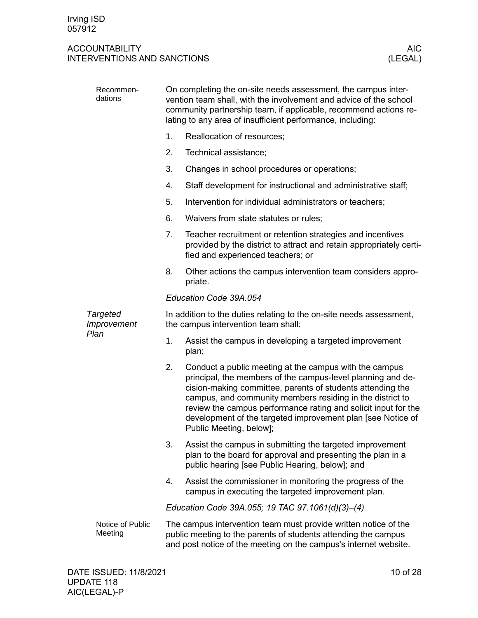| Recommen-<br>dations           | On completing the on-site needs assessment, the campus inter-<br>vention team shall, with the involvement and advice of the school<br>community partnership team, if applicable, recommend actions re-<br>lating to any area of insufficient performance, including: |                                                                                                                                                                                                                                                                                                                                                                                                              |  |  |  |  |  |
|--------------------------------|----------------------------------------------------------------------------------------------------------------------------------------------------------------------------------------------------------------------------------------------------------------------|--------------------------------------------------------------------------------------------------------------------------------------------------------------------------------------------------------------------------------------------------------------------------------------------------------------------------------------------------------------------------------------------------------------|--|--|--|--|--|
|                                | 1.                                                                                                                                                                                                                                                                   | Reallocation of resources;                                                                                                                                                                                                                                                                                                                                                                                   |  |  |  |  |  |
|                                | 2.                                                                                                                                                                                                                                                                   | Technical assistance;                                                                                                                                                                                                                                                                                                                                                                                        |  |  |  |  |  |
|                                | 3.                                                                                                                                                                                                                                                                   | Changes in school procedures or operations;                                                                                                                                                                                                                                                                                                                                                                  |  |  |  |  |  |
|                                | 4.                                                                                                                                                                                                                                                                   | Staff development for instructional and administrative staff;                                                                                                                                                                                                                                                                                                                                                |  |  |  |  |  |
|                                | 5.                                                                                                                                                                                                                                                                   | Intervention for individual administrators or teachers;                                                                                                                                                                                                                                                                                                                                                      |  |  |  |  |  |
|                                | 6.                                                                                                                                                                                                                                                                   | Waivers from state statutes or rules;                                                                                                                                                                                                                                                                                                                                                                        |  |  |  |  |  |
|                                | 7.                                                                                                                                                                                                                                                                   | Teacher recruitment or retention strategies and incentives<br>provided by the district to attract and retain appropriately certi-<br>fied and experienced teachers; or                                                                                                                                                                                                                                       |  |  |  |  |  |
|                                | 8.                                                                                                                                                                                                                                                                   | Other actions the campus intervention team considers appro-<br>priate.                                                                                                                                                                                                                                                                                                                                       |  |  |  |  |  |
|                                | Education Code 39A.054                                                                                                                                                                                                                                               |                                                                                                                                                                                                                                                                                                                                                                                                              |  |  |  |  |  |
| <b>Targeted</b><br>Improvement | In addition to the duties relating to the on-site needs assessment,<br>the campus intervention team shall:                                                                                                                                                           |                                                                                                                                                                                                                                                                                                                                                                                                              |  |  |  |  |  |
| Plan                           | 1.                                                                                                                                                                                                                                                                   | Assist the campus in developing a targeted improvement<br>plan;                                                                                                                                                                                                                                                                                                                                              |  |  |  |  |  |
|                                | 2.                                                                                                                                                                                                                                                                   | Conduct a public meeting at the campus with the campus<br>principal, the members of the campus-level planning and de-<br>cision-making committee, parents of students attending the<br>campus, and community members residing in the district to<br>review the campus performance rating and solicit input for the<br>development of the targeted improvement plan [see Notice of<br>Public Meeting, below]; |  |  |  |  |  |
|                                | 3.                                                                                                                                                                                                                                                                   | Assist the campus in submitting the targeted improvement<br>plan to the board for approval and presenting the plan in a<br>public hearing [see Public Hearing, below]; and                                                                                                                                                                                                                                   |  |  |  |  |  |
|                                | 4.                                                                                                                                                                                                                                                                   | Assist the commissioner in monitoring the progress of the<br>campus in executing the targeted improvement plan.                                                                                                                                                                                                                                                                                              |  |  |  |  |  |
|                                | Education Code 39A.055; 19 TAC 97.1061(d)(3)-(4)                                                                                                                                                                                                                     |                                                                                                                                                                                                                                                                                                                                                                                                              |  |  |  |  |  |
| Notice of Public<br>Meeting    |                                                                                                                                                                                                                                                                      | The campus intervention team must provide written notice of the<br>public meeting to the parents of students attending the campus<br>and post notice of the meeting on the campus's internet website.                                                                                                                                                                                                        |  |  |  |  |  |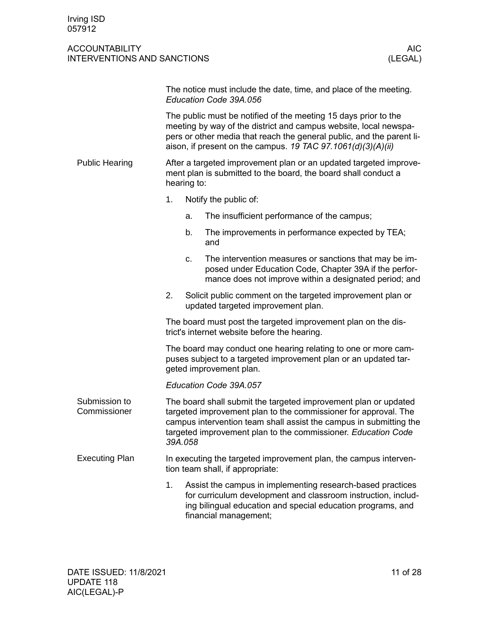<span id="page-10-2"></span><span id="page-10-1"></span><span id="page-10-0"></span>

|                               |                                                                                                                                                                                                                                                                              |         | The notice must include the date, time, and place of the meeting.<br>Education Code 39A.056                                                                                                                                                                               |  |  |  |
|-------------------------------|------------------------------------------------------------------------------------------------------------------------------------------------------------------------------------------------------------------------------------------------------------------------------|---------|---------------------------------------------------------------------------------------------------------------------------------------------------------------------------------------------------------------------------------------------------------------------------|--|--|--|
|                               | The public must be notified of the meeting 15 days prior to the<br>meeting by way of the district and campus website, local newspa-<br>pers or other media that reach the general public, and the parent li-<br>aison, if present on the campus. 19 TAC 97.1061(d)(3)(A)(ii) |         |                                                                                                                                                                                                                                                                           |  |  |  |
| <b>Public Hearing</b>         | After a targeted improvement plan or an updated targeted improve-<br>ment plan is submitted to the board, the board shall conduct a<br>hearing to:                                                                                                                           |         |                                                                                                                                                                                                                                                                           |  |  |  |
|                               | 1.                                                                                                                                                                                                                                                                           |         | Notify the public of:                                                                                                                                                                                                                                                     |  |  |  |
|                               |                                                                                                                                                                                                                                                                              | a.      | The insufficient performance of the campus;                                                                                                                                                                                                                               |  |  |  |
|                               |                                                                                                                                                                                                                                                                              | b.      | The improvements in performance expected by TEA;<br>and                                                                                                                                                                                                                   |  |  |  |
|                               |                                                                                                                                                                                                                                                                              | c.      | The intervention measures or sanctions that may be im-<br>posed under Education Code, Chapter 39A if the perfor-<br>mance does not improve within a designated period; and                                                                                                |  |  |  |
|                               | 2.                                                                                                                                                                                                                                                                           |         | Solicit public comment on the targeted improvement plan or<br>updated targeted improvement plan.                                                                                                                                                                          |  |  |  |
|                               | The board must post the targeted improvement plan on the dis-<br>trict's internet website before the hearing.                                                                                                                                                                |         |                                                                                                                                                                                                                                                                           |  |  |  |
|                               | The board may conduct one hearing relating to one or more cam-<br>puses subject to a targeted improvement plan or an updated tar-<br>geted improvement plan.                                                                                                                 |         |                                                                                                                                                                                                                                                                           |  |  |  |
|                               |                                                                                                                                                                                                                                                                              |         | Education Code 39A.057                                                                                                                                                                                                                                                    |  |  |  |
| Submission to<br>Commissioner |                                                                                                                                                                                                                                                                              | 39A.058 | The board shall submit the targeted improvement plan or updated<br>targeted improvement plan to the commissioner for approval. The<br>campus intervention team shall assist the campus in submitting the<br>targeted improvement plan to the commissioner. Education Code |  |  |  |
| <b>Executing Plan</b>         |                                                                                                                                                                                                                                                                              |         | In executing the targeted improvement plan, the campus interven-<br>tion team shall, if appropriate:                                                                                                                                                                      |  |  |  |
|                               | 1.                                                                                                                                                                                                                                                                           |         | Assist the campus in implementing research-based practices<br>for curriculum development and classroom instruction, includ-<br>ing bilingual education and special education programs, and<br>financial management;                                                       |  |  |  |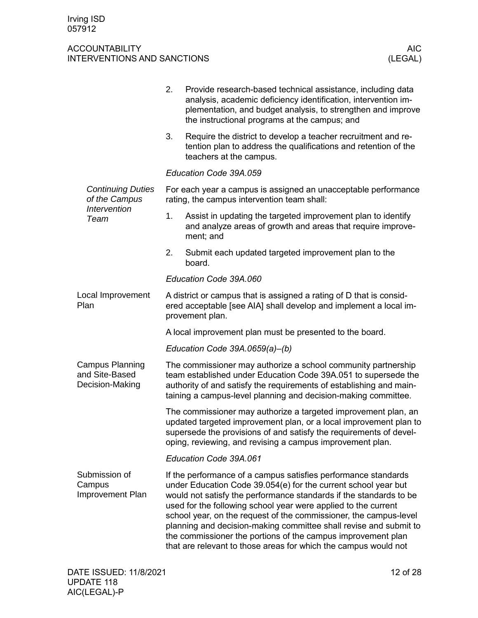<span id="page-11-2"></span><span id="page-11-1"></span><span id="page-11-0"></span>

|                                                                  | 2.                                                                                                            | Provide research-based technical assistance, including data<br>analysis, academic deficiency identification, intervention im-<br>plementation, and budget analysis, to strengthen and improve<br>the instructional programs at the campus; and                                                                                                                                                                                                                                                                                                        |  |  |  |  |
|------------------------------------------------------------------|---------------------------------------------------------------------------------------------------------------|-------------------------------------------------------------------------------------------------------------------------------------------------------------------------------------------------------------------------------------------------------------------------------------------------------------------------------------------------------------------------------------------------------------------------------------------------------------------------------------------------------------------------------------------------------|--|--|--|--|
|                                                                  | 3.                                                                                                            | Require the district to develop a teacher recruitment and re-<br>tention plan to address the qualifications and retention of the<br>teachers at the campus.                                                                                                                                                                                                                                                                                                                                                                                           |  |  |  |  |
|                                                                  |                                                                                                               | Education Code 39A.059                                                                                                                                                                                                                                                                                                                                                                                                                                                                                                                                |  |  |  |  |
| <b>Continuing Duties</b><br>of the Campus<br><b>Intervention</b> | For each year a campus is assigned an unacceptable performance<br>rating, the campus intervention team shall: |                                                                                                                                                                                                                                                                                                                                                                                                                                                                                                                                                       |  |  |  |  |
| Team                                                             | 1.                                                                                                            | Assist in updating the targeted improvement plan to identify<br>and analyze areas of growth and areas that require improve-<br>ment; and                                                                                                                                                                                                                                                                                                                                                                                                              |  |  |  |  |
|                                                                  | 2.                                                                                                            | Submit each updated targeted improvement plan to the<br>board.                                                                                                                                                                                                                                                                                                                                                                                                                                                                                        |  |  |  |  |
|                                                                  |                                                                                                               | Education Code 39A.060                                                                                                                                                                                                                                                                                                                                                                                                                                                                                                                                |  |  |  |  |
| Local Improvement<br>Plan                                        |                                                                                                               | A district or campus that is assigned a rating of D that is consid-<br>ered acceptable [see AIA] shall develop and implement a local im-<br>provement plan.                                                                                                                                                                                                                                                                                                                                                                                           |  |  |  |  |
|                                                                  | A local improvement plan must be presented to the board.                                                      |                                                                                                                                                                                                                                                                                                                                                                                                                                                                                                                                                       |  |  |  |  |
|                                                                  |                                                                                                               | Education Code 39A.0659(a)-(b)                                                                                                                                                                                                                                                                                                                                                                                                                                                                                                                        |  |  |  |  |
| <b>Campus Planning</b><br>and Site-Based<br>Decision-Making      |                                                                                                               | The commissioner may authorize a school community partnership<br>team established under Education Code 39A.051 to supersede the<br>authority of and satisfy the requirements of establishing and main-<br>taining a campus-level planning and decision-making committee.                                                                                                                                                                                                                                                                              |  |  |  |  |
|                                                                  |                                                                                                               | The commissioner may authorize a targeted improvement plan, an<br>updated targeted improvement plan, or a local improvement plan to<br>supersede the provisions of and satisfy the requirements of devel-<br>oping, reviewing, and revising a campus improvement plan.                                                                                                                                                                                                                                                                                |  |  |  |  |
|                                                                  |                                                                                                               | Education Code 39A.061                                                                                                                                                                                                                                                                                                                                                                                                                                                                                                                                |  |  |  |  |
| Submission of<br>Campus<br>Improvement Plan                      |                                                                                                               | If the performance of a campus satisfies performance standards<br>under Education Code 39.054(e) for the current school year but<br>would not satisfy the performance standards if the standards to be<br>used for the following school year were applied to the current<br>school year, on the request of the commissioner, the campus-level<br>planning and decision-making committee shall revise and submit to<br>the commissioner the portions of the campus improvement plan<br>that are relevant to those areas for which the campus would not |  |  |  |  |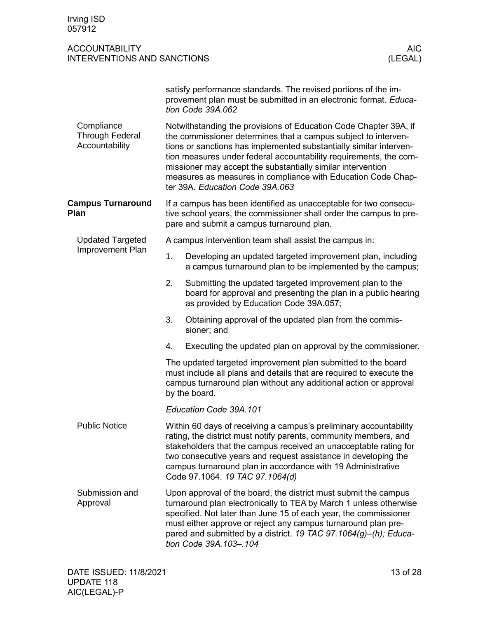<span id="page-12-4"></span><span id="page-12-3"></span><span id="page-12-2"></span><span id="page-12-1"></span><span id="page-12-0"></span>

| Irving ISD<br>057912                                        |                                                                                                                                                                                                                                                                                                                                                                                                                                                 |                                                                                                                                                                                                                                                                                                                                                                         |                       |  |  |
|-------------------------------------------------------------|-------------------------------------------------------------------------------------------------------------------------------------------------------------------------------------------------------------------------------------------------------------------------------------------------------------------------------------------------------------------------------------------------------------------------------------------------|-------------------------------------------------------------------------------------------------------------------------------------------------------------------------------------------------------------------------------------------------------------------------------------------------------------------------------------------------------------------------|-----------------------|--|--|
| <b>ACCOUNTABILITY</b><br><b>INTERVENTIONS AND SANCTIONS</b> |                                                                                                                                                                                                                                                                                                                                                                                                                                                 |                                                                                                                                                                                                                                                                                                                                                                         | <b>AIC</b><br>(LEGAL) |  |  |
|                                                             | satisfy performance standards. The revised portions of the im-<br>provement plan must be submitted in an electronic format. Educa-<br>tion Code 39A.062                                                                                                                                                                                                                                                                                         |                                                                                                                                                                                                                                                                                                                                                                         |                       |  |  |
| Compliance<br><b>Through Federal</b><br>Accountability      | Notwithstanding the provisions of Education Code Chapter 39A, if<br>the commissioner determines that a campus subject to interven-<br>tions or sanctions has implemented substantially similar interven-<br>tion measures under federal accountability requirements, the com-<br>missioner may accept the substantially similar intervention<br>measures as measures in compliance with Education Code Chap-<br>ter 39A. Education Code 39A.063 |                                                                                                                                                                                                                                                                                                                                                                         |                       |  |  |
| <b>Campus Turnaround</b><br>Plan                            |                                                                                                                                                                                                                                                                                                                                                                                                                                                 | If a campus has been identified as unacceptable for two consecu-<br>tive school years, the commissioner shall order the campus to pre-<br>pare and submit a campus turnaround plan.                                                                                                                                                                                     |                       |  |  |
| <b>Updated Targeted</b>                                     |                                                                                                                                                                                                                                                                                                                                                                                                                                                 | A campus intervention team shall assist the campus in:                                                                                                                                                                                                                                                                                                                  |                       |  |  |
| Improvement Plan                                            | 1.                                                                                                                                                                                                                                                                                                                                                                                                                                              | Developing an updated targeted improvement plan, including<br>a campus turnaround plan to be implemented by the campus;                                                                                                                                                                                                                                                 |                       |  |  |
|                                                             | 2.                                                                                                                                                                                                                                                                                                                                                                                                                                              | Submitting the updated targeted improvement plan to the<br>board for approval and presenting the plan in a public hearing<br>as provided by Education Code 39A.057;                                                                                                                                                                                                     |                       |  |  |
|                                                             | 3.                                                                                                                                                                                                                                                                                                                                                                                                                                              | Obtaining approval of the updated plan from the commis-<br>sioner; and                                                                                                                                                                                                                                                                                                  |                       |  |  |
|                                                             | 4.                                                                                                                                                                                                                                                                                                                                                                                                                                              | Executing the updated plan on approval by the commissioner.                                                                                                                                                                                                                                                                                                             |                       |  |  |
|                                                             | The updated targeted improvement plan submitted to the board<br>must include all plans and details that are required to execute the<br>campus turnaround plan without any additional action or approval<br>by the board.                                                                                                                                                                                                                        |                                                                                                                                                                                                                                                                                                                                                                         |                       |  |  |
|                                                             |                                                                                                                                                                                                                                                                                                                                                                                                                                                 | Education Code 39A.101                                                                                                                                                                                                                                                                                                                                                  |                       |  |  |
| <b>Public Notice</b>                                        | Within 60 days of receiving a campus's preliminary accountability<br>rating, the district must notify parents, community members, and<br>stakeholders that the campus received an unacceptable rating for<br>two consecutive years and request assistance in developing the<br>campus turnaround plan in accordance with 19 Administrative<br>Code 97.1064. 19 TAC 97.1064(d)                                                                   |                                                                                                                                                                                                                                                                                                                                                                         |                       |  |  |
| Submission and<br>Approval                                  |                                                                                                                                                                                                                                                                                                                                                                                                                                                 | Upon approval of the board, the district must submit the campus<br>turnaround plan electronically to TEA by March 1 unless otherwise<br>specified. Not later than June 15 of each year, the commissioner<br>must either approve or reject any campus turnaround plan pre-<br>pared and submitted by a district. 19 TAC 97.1064(g)-(h); Educa-<br>tion Code 39A.103-.104 |                       |  |  |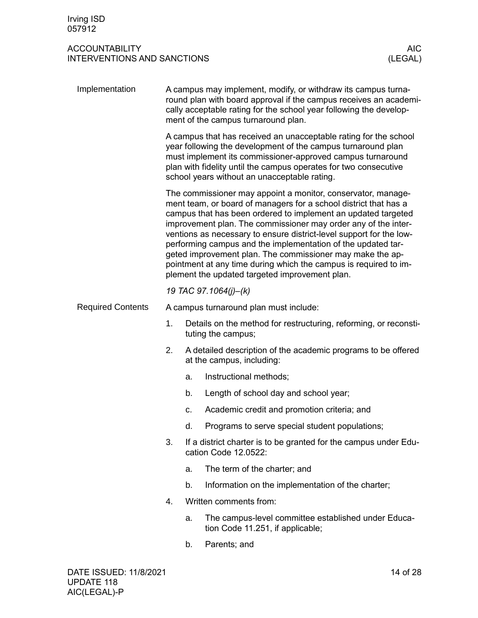<span id="page-13-1"></span><span id="page-13-0"></span>

| Implementation           |                                                                                                                                                                                                                                                                                                                                                                                                                                                                                                                                                                                               |                                                                                          | A campus may implement, modify, or withdraw its campus turna-<br>round plan with board approval if the campus receives an academi-<br>cally acceptable rating for the school year following the develop-<br>ment of the campus turnaround plan. |  |  |  |
|--------------------------|-----------------------------------------------------------------------------------------------------------------------------------------------------------------------------------------------------------------------------------------------------------------------------------------------------------------------------------------------------------------------------------------------------------------------------------------------------------------------------------------------------------------------------------------------------------------------------------------------|------------------------------------------------------------------------------------------|-------------------------------------------------------------------------------------------------------------------------------------------------------------------------------------------------------------------------------------------------|--|--|--|
|                          | A campus that has received an unacceptable rating for the school<br>year following the development of the campus turnaround plan<br>must implement its commissioner-approved campus turnaround<br>plan with fidelity until the campus operates for two consecutive<br>school years without an unacceptable rating.                                                                                                                                                                                                                                                                            |                                                                                          |                                                                                                                                                                                                                                                 |  |  |  |
|                          | The commissioner may appoint a monitor, conservator, manage-<br>ment team, or board of managers for a school district that has a<br>campus that has been ordered to implement an updated targeted<br>improvement plan. The commissioner may order any of the inter-<br>ventions as necessary to ensure district-level support for the low-<br>performing campus and the implementation of the updated tar-<br>geted improvement plan. The commissioner may make the ap-<br>pointment at any time during which the campus is required to im-<br>plement the updated targeted improvement plan. |                                                                                          |                                                                                                                                                                                                                                                 |  |  |  |
|                          |                                                                                                                                                                                                                                                                                                                                                                                                                                                                                                                                                                                               |                                                                                          | 19 TAC 97.1064(j)-(k)                                                                                                                                                                                                                           |  |  |  |
| <b>Required Contents</b> |                                                                                                                                                                                                                                                                                                                                                                                                                                                                                                                                                                                               |                                                                                          | A campus turnaround plan must include:                                                                                                                                                                                                          |  |  |  |
|                          | 1.                                                                                                                                                                                                                                                                                                                                                                                                                                                                                                                                                                                            |                                                                                          | Details on the method for restructuring, reforming, or reconsti-<br>tuting the campus;                                                                                                                                                          |  |  |  |
|                          | 2.                                                                                                                                                                                                                                                                                                                                                                                                                                                                                                                                                                                            |                                                                                          | A detailed description of the academic programs to be offered<br>at the campus, including:                                                                                                                                                      |  |  |  |
|                          |                                                                                                                                                                                                                                                                                                                                                                                                                                                                                                                                                                                               | a.                                                                                       | Instructional methods;                                                                                                                                                                                                                          |  |  |  |
|                          |                                                                                                                                                                                                                                                                                                                                                                                                                                                                                                                                                                                               | b.                                                                                       | Length of school day and school year;                                                                                                                                                                                                           |  |  |  |
|                          |                                                                                                                                                                                                                                                                                                                                                                                                                                                                                                                                                                                               | С.                                                                                       | Academic credit and promotion criteria; and                                                                                                                                                                                                     |  |  |  |
|                          |                                                                                                                                                                                                                                                                                                                                                                                                                                                                                                                                                                                               | d.                                                                                       | Programs to serve special student populations;                                                                                                                                                                                                  |  |  |  |
|                          | 3.                                                                                                                                                                                                                                                                                                                                                                                                                                                                                                                                                                                            | If a district charter is to be granted for the campus under Edu-<br>cation Code 12.0522: |                                                                                                                                                                                                                                                 |  |  |  |
|                          |                                                                                                                                                                                                                                                                                                                                                                                                                                                                                                                                                                                               | а.                                                                                       | The term of the charter; and                                                                                                                                                                                                                    |  |  |  |
|                          |                                                                                                                                                                                                                                                                                                                                                                                                                                                                                                                                                                                               | b.                                                                                       | Information on the implementation of the charter;                                                                                                                                                                                               |  |  |  |
|                          | 4.                                                                                                                                                                                                                                                                                                                                                                                                                                                                                                                                                                                            |                                                                                          | Written comments from:                                                                                                                                                                                                                          |  |  |  |
|                          |                                                                                                                                                                                                                                                                                                                                                                                                                                                                                                                                                                                               | a.                                                                                       | The campus-level committee established under Educa-<br>tion Code 11.251, if applicable;                                                                                                                                                         |  |  |  |
|                          |                                                                                                                                                                                                                                                                                                                                                                                                                                                                                                                                                                                               | b.                                                                                       | Parents; and                                                                                                                                                                                                                                    |  |  |  |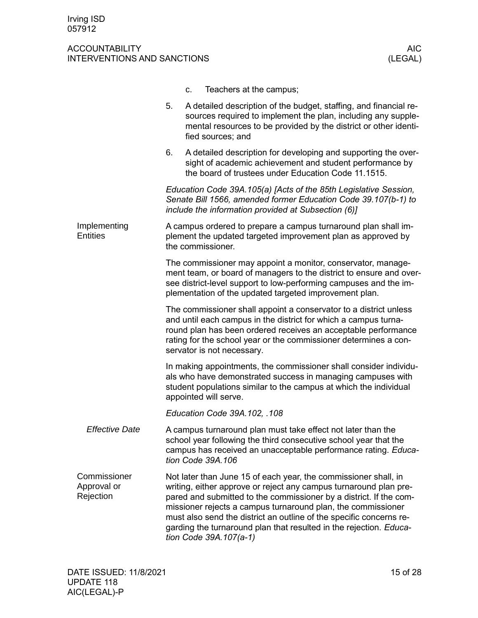<span id="page-14-1"></span><span id="page-14-0"></span>

|                                          | Teachers at the campus;<br>C.                                                                                                                                                                                                                                                                                                                                                                                                                     |
|------------------------------------------|---------------------------------------------------------------------------------------------------------------------------------------------------------------------------------------------------------------------------------------------------------------------------------------------------------------------------------------------------------------------------------------------------------------------------------------------------|
|                                          | 5.<br>A detailed description of the budget, staffing, and financial re-<br>sources required to implement the plan, including any supple-<br>mental resources to be provided by the district or other identi-<br>fied sources; and                                                                                                                                                                                                                 |
|                                          | 6.<br>A detailed description for developing and supporting the over-<br>sight of academic achievement and student performance by<br>the board of trustees under Education Code 11.1515.                                                                                                                                                                                                                                                           |
|                                          | Education Code 39A.105(a) [Acts of the 85th Legislative Session,<br>Senate Bill 1566, amended former Education Code 39.107(b-1) to<br>include the information provided at Subsection (6)]                                                                                                                                                                                                                                                         |
| Implementing<br><b>Entities</b>          | A campus ordered to prepare a campus turnaround plan shall im-<br>plement the updated targeted improvement plan as approved by<br>the commissioner.                                                                                                                                                                                                                                                                                               |
|                                          | The commissioner may appoint a monitor, conservator, manage-<br>ment team, or board of managers to the district to ensure and over-<br>see district-level support to low-performing campuses and the im-<br>plementation of the updated targeted improvement plan.                                                                                                                                                                                |
|                                          | The commissioner shall appoint a conservator to a district unless<br>and until each campus in the district for which a campus turna-<br>round plan has been ordered receives an acceptable performance<br>rating for the school year or the commissioner determines a con-<br>servator is not necessary.                                                                                                                                          |
|                                          | In making appointments, the commissioner shall consider individu-<br>als who have demonstrated success in managing campuses with<br>student populations similar to the campus at which the individual<br>appointed will serve.                                                                                                                                                                                                                    |
|                                          | Education Code 39A.102, .108                                                                                                                                                                                                                                                                                                                                                                                                                      |
| <b>Effective Date</b>                    | A campus turnaround plan must take effect not later than the<br>school year following the third consecutive school year that the<br>campus has received an unacceptable performance rating. Educa-<br>tion Code 39A.106                                                                                                                                                                                                                           |
| Commissioner<br>Approval or<br>Rejection | Not later than June 15 of each year, the commissioner shall, in<br>writing, either approve or reject any campus turnaround plan pre-<br>pared and submitted to the commissioner by a district. If the com-<br>missioner rejects a campus turnaround plan, the commissioner<br>must also send the district an outline of the specific concerns re-<br>garding the turnaround plan that resulted in the rejection. Educa-<br>tion Code 39A.107(a-1) |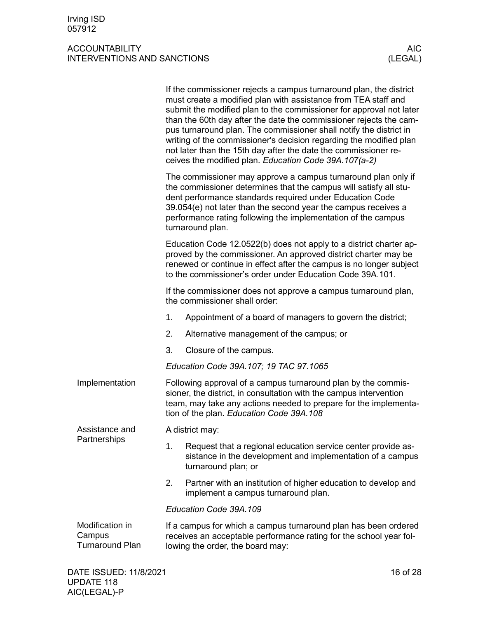<span id="page-15-2"></span><span id="page-15-1"></span><span id="page-15-0"></span>

|                                                     | If the commissioner rejects a campus turnaround plan, the district<br>must create a modified plan with assistance from TEA staff and<br>submit the modified plan to the commissioner for approval not later<br>than the 60th day after the date the commissioner rejects the cam-<br>pus turnaround plan. The commissioner shall notify the district in<br>writing of the commissioner's decision regarding the modified plan<br>not later than the 15th day after the date the commissioner re-<br>ceives the modified plan. Education Code 39A.107(a-2) |  |  |  |  |
|-----------------------------------------------------|-----------------------------------------------------------------------------------------------------------------------------------------------------------------------------------------------------------------------------------------------------------------------------------------------------------------------------------------------------------------------------------------------------------------------------------------------------------------------------------------------------------------------------------------------------------|--|--|--|--|
|                                                     | The commissioner may approve a campus turnaround plan only if<br>the commissioner determines that the campus will satisfy all stu-<br>dent performance standards required under Education Code<br>39.054(e) not later than the second year the campus receives a<br>performance rating following the implementation of the campus<br>turnaround plan.                                                                                                                                                                                                     |  |  |  |  |
|                                                     | Education Code 12.0522(b) does not apply to a district charter ap-<br>proved by the commissioner. An approved district charter may be<br>renewed or continue in effect after the campus is no longer subject<br>to the commissioner's order under Education Code 39A.101.                                                                                                                                                                                                                                                                                 |  |  |  |  |
|                                                     | If the commissioner does not approve a campus turnaround plan,<br>the commissioner shall order:                                                                                                                                                                                                                                                                                                                                                                                                                                                           |  |  |  |  |
|                                                     | Appointment of a board of managers to govern the district;<br>1.                                                                                                                                                                                                                                                                                                                                                                                                                                                                                          |  |  |  |  |
|                                                     | 2.<br>Alternative management of the campus; or                                                                                                                                                                                                                                                                                                                                                                                                                                                                                                            |  |  |  |  |
|                                                     | 3.<br>Closure of the campus.                                                                                                                                                                                                                                                                                                                                                                                                                                                                                                                              |  |  |  |  |
|                                                     | Education Code 39A.107; 19 TAC 97.1065                                                                                                                                                                                                                                                                                                                                                                                                                                                                                                                    |  |  |  |  |
| Implementation                                      | Following approval of a campus turnaround plan by the commis-<br>sioner, the district, in consultation with the campus intervention<br>team, may take any actions needed to prepare for the implementa-<br>tion of the plan. Education Code 39A.108                                                                                                                                                                                                                                                                                                       |  |  |  |  |
| Assistance and                                      | A district may:                                                                                                                                                                                                                                                                                                                                                                                                                                                                                                                                           |  |  |  |  |
| Partnerships                                        | 1.<br>Request that a regional education service center provide as-<br>sistance in the development and implementation of a campus<br>turnaround plan; or                                                                                                                                                                                                                                                                                                                                                                                                   |  |  |  |  |
|                                                     | 2.<br>Partner with an institution of higher education to develop and<br>implement a campus turnaround plan.                                                                                                                                                                                                                                                                                                                                                                                                                                               |  |  |  |  |
|                                                     | Education Code 39A.109                                                                                                                                                                                                                                                                                                                                                                                                                                                                                                                                    |  |  |  |  |
| Modification in<br>Campus<br><b>Turnaround Plan</b> | If a campus for which a campus turnaround plan has been ordered<br>receives an acceptable performance rating for the school year fol-<br>lowing the order, the board may:                                                                                                                                                                                                                                                                                                                                                                                 |  |  |  |  |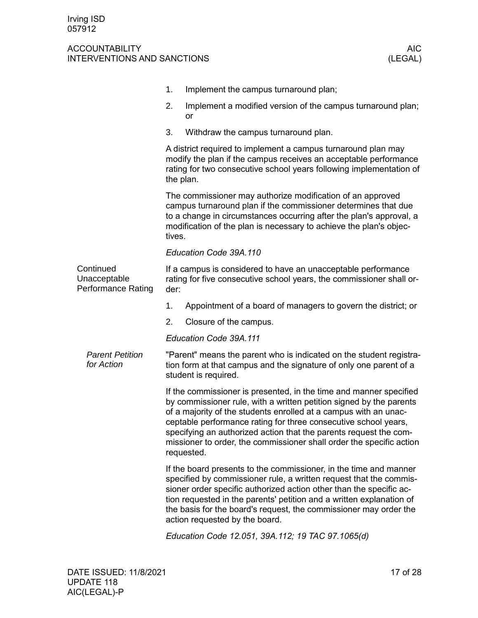<span id="page-16-0"></span>

|                                                        | 1.     | Implement the campus turnaround plan;                                                                                                                                                                                                                                                                                                                                                                                                       |
|--------------------------------------------------------|--------|---------------------------------------------------------------------------------------------------------------------------------------------------------------------------------------------------------------------------------------------------------------------------------------------------------------------------------------------------------------------------------------------------------------------------------------------|
|                                                        | 2.     | Implement a modified version of the campus turnaround plan;<br>or                                                                                                                                                                                                                                                                                                                                                                           |
|                                                        | 3.     | Withdraw the campus turnaround plan.                                                                                                                                                                                                                                                                                                                                                                                                        |
|                                                        |        | A district required to implement a campus turnaround plan may<br>modify the plan if the campus receives an acceptable performance<br>rating for two consecutive school years following implementation of<br>the plan.                                                                                                                                                                                                                       |
|                                                        | tives. | The commissioner may authorize modification of an approved<br>campus turnaround plan if the commissioner determines that due<br>to a change in circumstances occurring after the plan's approval, a<br>modification of the plan is necessary to achieve the plan's objec-                                                                                                                                                                   |
|                                                        |        | Education Code 39A.110                                                                                                                                                                                                                                                                                                                                                                                                                      |
| Continued<br>Unacceptable<br><b>Performance Rating</b> | der:   | If a campus is considered to have an unacceptable performance<br>rating for five consecutive school years, the commissioner shall or-                                                                                                                                                                                                                                                                                                       |
|                                                        | 1.     | Appointment of a board of managers to govern the district; or                                                                                                                                                                                                                                                                                                                                                                               |
|                                                        | 2.     | Closure of the campus.                                                                                                                                                                                                                                                                                                                                                                                                                      |
|                                                        |        | Education Code 39A.111                                                                                                                                                                                                                                                                                                                                                                                                                      |
| <b>Parent Petition</b><br>for Action                   |        | "Parent" means the parent who is indicated on the student registra-<br>tion form at that campus and the signature of only one parent of a<br>student is required.                                                                                                                                                                                                                                                                           |
|                                                        |        | If the commissioner is presented, in the time and manner specified<br>by commissioner rule, with a written petition signed by the parents<br>of a majority of the students enrolled at a campus with an unac-<br>ceptable performance rating for three consecutive school years,<br>specifying an authorized action that the parents request the com-<br>missioner to order, the commissioner shall order the specific action<br>requested. |
|                                                        |        | If the board presents to the commissioner, in the time and manner<br>specified by commissioner rule, a written request that the commis-<br>sioner order specific authorized action other than the specific ac-<br>tion requested in the parents' petition and a written explanation of<br>the basis for the board's request, the commissioner may order the<br>action requested by the board.                                               |

*Education Code 12.051, 39A.112; 19 TAC 97.1065(d)*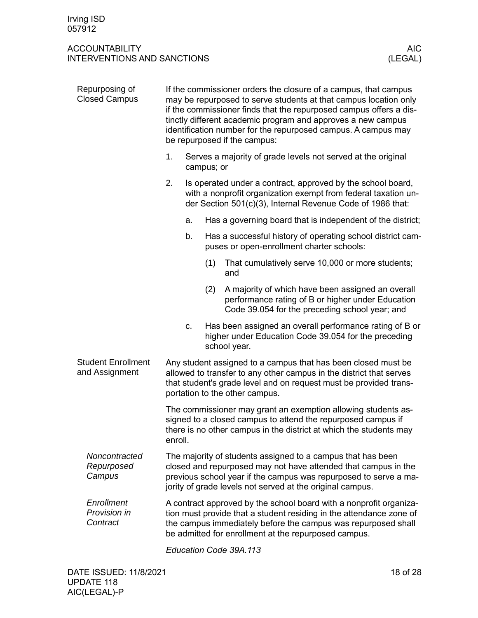<span id="page-17-0"></span>

| Repurposing of<br><b>Closed Campus</b>      |         |    |            | If the commissioner orders the closure of a campus, that campus<br>may be repurposed to serve students at that campus location only<br>if the commissioner finds that the repurposed campus offers a dis-<br>tinctly different academic program and approves a new campus<br>identification number for the repurposed campus. A campus may<br>be repurposed if the campus: |
|---------------------------------------------|---------|----|------------|----------------------------------------------------------------------------------------------------------------------------------------------------------------------------------------------------------------------------------------------------------------------------------------------------------------------------------------------------------------------------|
|                                             | 1.      |    | campus; or | Serves a majority of grade levels not served at the original                                                                                                                                                                                                                                                                                                               |
|                                             | 2.      |    |            | Is operated under a contract, approved by the school board,<br>with a nonprofit organization exempt from federal taxation un-<br>der Section 501(c)(3), Internal Revenue Code of 1986 that:                                                                                                                                                                                |
|                                             |         | a. |            | Has a governing board that is independent of the district;                                                                                                                                                                                                                                                                                                                 |
|                                             |         | b. |            | Has a successful history of operating school district cam-<br>puses or open-enrollment charter schools:                                                                                                                                                                                                                                                                    |
|                                             |         |    | (1)        | That cumulatively serve 10,000 or more students;<br>and                                                                                                                                                                                                                                                                                                                    |
|                                             |         |    | (2)        | A majority of which have been assigned an overall<br>performance rating of B or higher under Education<br>Code 39.054 for the preceding school year; and                                                                                                                                                                                                                   |
|                                             |         | C. |            | Has been assigned an overall performance rating of B or<br>higher under Education Code 39.054 for the preceding<br>school year.                                                                                                                                                                                                                                            |
| <b>Student Enrollment</b><br>and Assignment |         |    |            | Any student assigned to a campus that has been closed must be<br>allowed to transfer to any other campus in the district that serves<br>that student's grade level and on request must be provided trans-<br>portation to the other campus.                                                                                                                                |
|                                             | enroll. |    |            | The commissioner may grant an exemption allowing students as-<br>signed to a closed campus to attend the repurposed campus if<br>there is no other campus in the district at which the students may                                                                                                                                                                        |
| Noncontracted<br>Repurposed<br>Campus       |         |    |            | The majority of students assigned to a campus that has been<br>closed and repurposed may not have attended that campus in the<br>previous school year if the campus was repurposed to serve a ma-<br>jority of grade levels not served at the original campus.                                                                                                             |
| Enrollment<br>Provision in<br>Contract      |         |    |            | A contract approved by the school board with a nonprofit organiza-<br>tion must provide that a student residing in the attendance zone of<br>the campus immediately before the campus was repurposed shall<br>be admitted for enrollment at the repurposed campus.                                                                                                         |
|                                             |         |    |            |                                                                                                                                                                                                                                                                                                                                                                            |

<span id="page-17-1"></span>*Education Code 39A.113*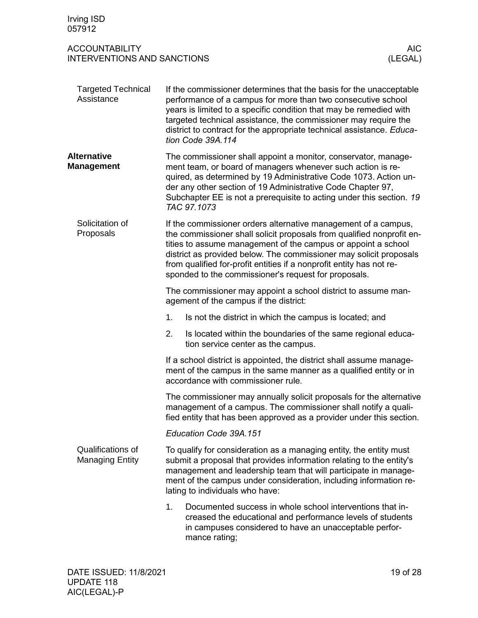<span id="page-18-3"></span><span id="page-18-2"></span><span id="page-18-1"></span><span id="page-18-0"></span>

| Irving ISD<br>057912                                        |                                                                                                                                                                                                                                                                                                                                                                                                                |                                                                                                                                                                                                                                                                                                                                                                           |  |  |
|-------------------------------------------------------------|----------------------------------------------------------------------------------------------------------------------------------------------------------------------------------------------------------------------------------------------------------------------------------------------------------------------------------------------------------------------------------------------------------------|---------------------------------------------------------------------------------------------------------------------------------------------------------------------------------------------------------------------------------------------------------------------------------------------------------------------------------------------------------------------------|--|--|
| <b>ACCOUNTABILITY</b><br><b>INTERVENTIONS AND SANCTIONS</b> |                                                                                                                                                                                                                                                                                                                                                                                                                | <b>AIC</b><br>(LEGAL)                                                                                                                                                                                                                                                                                                                                                     |  |  |
| <b>Targeted Technical</b><br>Assistance                     |                                                                                                                                                                                                                                                                                                                                                                                                                | If the commissioner determines that the basis for the unacceptable<br>performance of a campus for more than two consecutive school<br>years is limited to a specific condition that may be remedied with<br>targeted technical assistance, the commissioner may require the<br>district to contract for the appropriate technical assistance. Educa-<br>tion Code 39A.114 |  |  |
| <b>Alternative</b><br><b>Management</b>                     |                                                                                                                                                                                                                                                                                                                                                                                                                | The commissioner shall appoint a monitor, conservator, manage-<br>ment team, or board of managers whenever such action is re-<br>quired, as determined by 19 Administrative Code 1073. Action un-<br>der any other section of 19 Administrative Code Chapter 97,<br>Subchapter EE is not a prerequisite to acting under this section. 19<br>TAC 97.1073                   |  |  |
| Solicitation of<br>Proposals                                | If the commissioner orders alternative management of a campus,<br>the commissioner shall solicit proposals from qualified nonprofit en-<br>tities to assume management of the campus or appoint a school<br>district as provided below. The commissioner may solicit proposals<br>from qualified for-profit entities if a nonprofit entity has not re-<br>sponded to the commissioner's request for proposals. |                                                                                                                                                                                                                                                                                                                                                                           |  |  |
|                                                             |                                                                                                                                                                                                                                                                                                                                                                                                                | The commissioner may appoint a school district to assume man-<br>agement of the campus if the district:                                                                                                                                                                                                                                                                   |  |  |
|                                                             | 1.                                                                                                                                                                                                                                                                                                                                                                                                             | Is not the district in which the campus is located; and                                                                                                                                                                                                                                                                                                                   |  |  |
|                                                             | 2.                                                                                                                                                                                                                                                                                                                                                                                                             | Is located within the boundaries of the same regional educa-<br>tion service center as the campus.                                                                                                                                                                                                                                                                        |  |  |
|                                                             |                                                                                                                                                                                                                                                                                                                                                                                                                | If a school district is appointed, the district shall assume manage-<br>ment of the campus in the same manner as a qualified entity or in<br>accordance with commissioner rule.                                                                                                                                                                                           |  |  |
|                                                             |                                                                                                                                                                                                                                                                                                                                                                                                                | The commissioner may annually solicit proposals for the alternative<br>management of a campus. The commissioner shall notify a quali-<br>fied entity that has been approved as a provider under this section.                                                                                                                                                             |  |  |
|                                                             |                                                                                                                                                                                                                                                                                                                                                                                                                | Education Code 39A.151                                                                                                                                                                                                                                                                                                                                                    |  |  |
| Qualifications of<br><b>Managing Entity</b>                 | To qualify for consideration as a managing entity, the entity must<br>submit a proposal that provides information relating to the entity's<br>management and leadership team that will participate in manage-<br>ment of the campus under consideration, including information re-<br>lating to individuals who have:                                                                                          |                                                                                                                                                                                                                                                                                                                                                                           |  |  |
|                                                             | 1.                                                                                                                                                                                                                                                                                                                                                                                                             | Documented success in whole school interventions that in-<br>creased the educational and performance levels of students<br>in campuses considered to have an unacceptable perfor-<br>mance rating;                                                                                                                                                                        |  |  |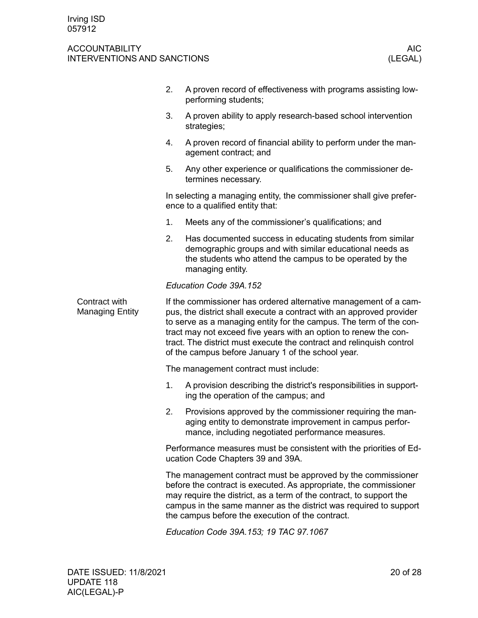<span id="page-19-0"></span>

|                                         | 2. | A proven record of effectiveness with programs assisting low-<br>performing students;                                                                                                                                                                                                                                                                                                                            |  |  |  |  |
|-----------------------------------------|----|------------------------------------------------------------------------------------------------------------------------------------------------------------------------------------------------------------------------------------------------------------------------------------------------------------------------------------------------------------------------------------------------------------------|--|--|--|--|
|                                         | 3. | A proven ability to apply research-based school intervention<br>strategies;                                                                                                                                                                                                                                                                                                                                      |  |  |  |  |
|                                         | 4. | A proven record of financial ability to perform under the man-<br>agement contract; and                                                                                                                                                                                                                                                                                                                          |  |  |  |  |
|                                         | 5. | Any other experience or qualifications the commissioner de-<br>termines necessary.                                                                                                                                                                                                                                                                                                                               |  |  |  |  |
|                                         |    | In selecting a managing entity, the commissioner shall give prefer-<br>ence to a qualified entity that:                                                                                                                                                                                                                                                                                                          |  |  |  |  |
|                                         | 1. | Meets any of the commissioner's qualifications; and                                                                                                                                                                                                                                                                                                                                                              |  |  |  |  |
|                                         | 2. | Has documented success in educating students from similar<br>demographic groups and with similar educational needs as<br>the students who attend the campus to be operated by the<br>managing entity.                                                                                                                                                                                                            |  |  |  |  |
|                                         |    | Education Code 39A.152                                                                                                                                                                                                                                                                                                                                                                                           |  |  |  |  |
| Contract with<br><b>Managing Entity</b> |    | If the commissioner has ordered alternative management of a cam-<br>pus, the district shall execute a contract with an approved provider<br>to serve as a managing entity for the campus. The term of the con-<br>tract may not exceed five years with an option to renew the con-<br>tract. The district must execute the contract and relinquish control<br>of the campus before January 1 of the school year. |  |  |  |  |
|                                         |    | The management contract must include:                                                                                                                                                                                                                                                                                                                                                                            |  |  |  |  |
|                                         | 1. | A provision describing the district's responsibilities in support-<br>ing the operation of the campus; and                                                                                                                                                                                                                                                                                                       |  |  |  |  |
|                                         | 2. | Provisions approved by the commissioner requiring the man-<br>aging entity to demonstrate improvement in campus perfor-<br>mance, including negotiated performance measures.                                                                                                                                                                                                                                     |  |  |  |  |
|                                         |    | Performance measures must be consistent with the priorities of Ed-<br>ucation Code Chapters 39 and 39A.                                                                                                                                                                                                                                                                                                          |  |  |  |  |
|                                         |    | The management contract must be approved by the commissioner<br>before the contract is executed. As appropriate, the commissioner<br>may require the district, as a term of the contract, to support the<br>campus in the same manner as the district was required to support<br>the campus before the execution of the contract.                                                                                |  |  |  |  |
|                                         |    | Education Code 39A.153; 19 TAC 97.1067                                                                                                                                                                                                                                                                                                                                                                           |  |  |  |  |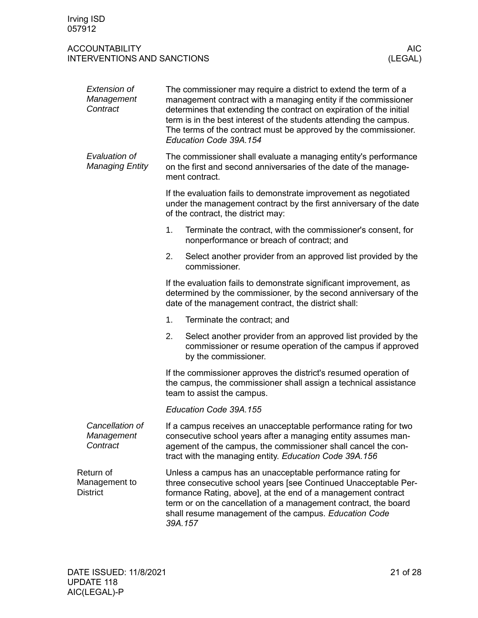<span id="page-20-0"></span>

| <b>Extension of</b><br>Management<br>Contract | The commissioner may require a district to extend the term of a<br>management contract with a managing entity if the commissioner<br>determines that extending the contract on expiration of the initial<br>term is in the best interest of the students attending the campus.<br>The terms of the contract must be approved by the commissioner.<br>Education Code 39A.154 |  |  |  |  |
|-----------------------------------------------|-----------------------------------------------------------------------------------------------------------------------------------------------------------------------------------------------------------------------------------------------------------------------------------------------------------------------------------------------------------------------------|--|--|--|--|
| Evaluation of<br><b>Managing Entity</b>       | The commissioner shall evaluate a managing entity's performance<br>on the first and second anniversaries of the date of the manage-<br>ment contract.                                                                                                                                                                                                                       |  |  |  |  |
|                                               | If the evaluation fails to demonstrate improvement as negotiated<br>under the management contract by the first anniversary of the date<br>of the contract, the district may:                                                                                                                                                                                                |  |  |  |  |
|                                               | 1.<br>Terminate the contract, with the commissioner's consent, for<br>nonperformance or breach of contract; and                                                                                                                                                                                                                                                             |  |  |  |  |
|                                               | Select another provider from an approved list provided by the<br>2.<br>commissioner.                                                                                                                                                                                                                                                                                        |  |  |  |  |
|                                               | If the evaluation fails to demonstrate significant improvement, as<br>determined by the commissioner, by the second anniversary of the<br>date of the management contract, the district shall:                                                                                                                                                                              |  |  |  |  |
|                                               | 1.<br>Terminate the contract; and                                                                                                                                                                                                                                                                                                                                           |  |  |  |  |
|                                               | Select another provider from an approved list provided by the<br>2.<br>commissioner or resume operation of the campus if approved<br>by the commissioner.                                                                                                                                                                                                                   |  |  |  |  |
|                                               | If the commissioner approves the district's resumed operation of<br>the campus, the commissioner shall assign a technical assistance<br>team to assist the campus.                                                                                                                                                                                                          |  |  |  |  |
|                                               | Education Code 39A.155                                                                                                                                                                                                                                                                                                                                                      |  |  |  |  |
| Cancellation of<br>Management<br>Contract     | If a campus receives an unacceptable performance rating for two<br>consecutive school years after a managing entity assumes man-<br>agement of the campus, the commissioner shall cancel the con-<br>tract with the managing entity. Education Code 39A.156                                                                                                                 |  |  |  |  |
| Return of<br>Management to<br><b>District</b> | Unless a campus has an unacceptable performance rating for<br>three consecutive school years [see Continued Unacceptable Per-<br>formance Rating, above], at the end of a management contract<br>term or on the cancellation of a management contract, the board<br>shall resume management of the campus. Education Code<br>39A.157                                        |  |  |  |  |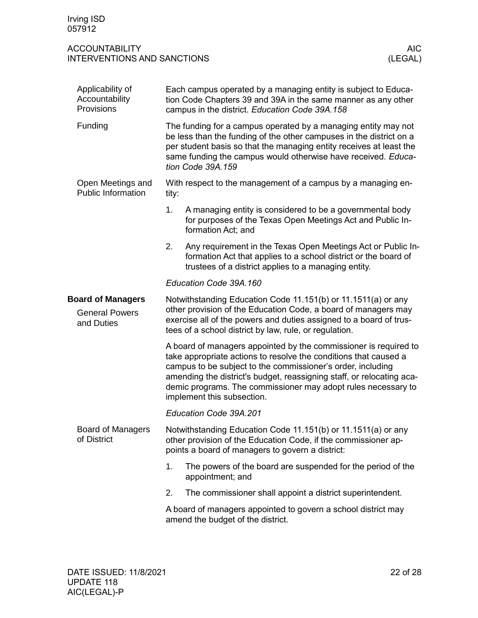<span id="page-21-5"></span><span id="page-21-4"></span><span id="page-21-3"></span><span id="page-21-2"></span><span id="page-21-1"></span><span id="page-21-0"></span>

| Applicability of<br>Accountability<br>Provisions                | Each campus operated by a managing entity is subject to Educa-<br>tion Code Chapters 39 and 39A in the same manner as any other<br>campus in the district. Education Code 39A.158                                                                                                                                                                                           |
|-----------------------------------------------------------------|-----------------------------------------------------------------------------------------------------------------------------------------------------------------------------------------------------------------------------------------------------------------------------------------------------------------------------------------------------------------------------|
| Funding                                                         | The funding for a campus operated by a managing entity may not<br>be less than the funding of the other campuses in the district on a<br>per student basis so that the managing entity receives at least the<br>same funding the campus would otherwise have received. Educa-<br>tion Code 39A.159                                                                          |
| Open Meetings and<br><b>Public Information</b>                  | With respect to the management of a campus by a managing en-<br>tity:                                                                                                                                                                                                                                                                                                       |
|                                                                 | 1.<br>A managing entity is considered to be a governmental body<br>for purposes of the Texas Open Meetings Act and Public In-<br>formation Act; and                                                                                                                                                                                                                         |
|                                                                 | 2.<br>Any requirement in the Texas Open Meetings Act or Public In-<br>formation Act that applies to a school district or the board of<br>trustees of a district applies to a managing entity.                                                                                                                                                                               |
|                                                                 | Education Code 39A.160                                                                                                                                                                                                                                                                                                                                                      |
| <b>Board of Managers</b><br><b>General Powers</b><br>and Duties | Notwithstanding Education Code 11.151(b) or 11.1511(a) or any<br>other provision of the Education Code, a board of managers may<br>exercise all of the powers and duties assigned to a board of trus-<br>tees of a school district by law, rule, or regulation.                                                                                                             |
|                                                                 | A board of managers appointed by the commissioner is required to<br>take appropriate actions to resolve the conditions that caused a<br>campus to be subject to the commissioner's order, including<br>amending the district's budget, reassigning staff, or relocating aca-<br>demic programs. The commissioner may adopt rules necessary to<br>implement this subsection. |
|                                                                 | Education Code 39A.201                                                                                                                                                                                                                                                                                                                                                      |
| <b>Board of Managers</b><br>of District                         | Notwithstanding Education Code 11.151(b) or 11.1511(a) or any<br>other provision of the Education Code, if the commissioner ap-<br>points a board of managers to govern a district:                                                                                                                                                                                         |
|                                                                 | 1.<br>The powers of the board are suspended for the period of the<br>appointment; and                                                                                                                                                                                                                                                                                       |
|                                                                 | 2.<br>The commissioner shall appoint a district superintendent.                                                                                                                                                                                                                                                                                                             |
|                                                                 | A board of managers appointed to govern a school district may<br>amend the budget of the district.                                                                                                                                                                                                                                                                          |
|                                                                 |                                                                                                                                                                                                                                                                                                                                                                             |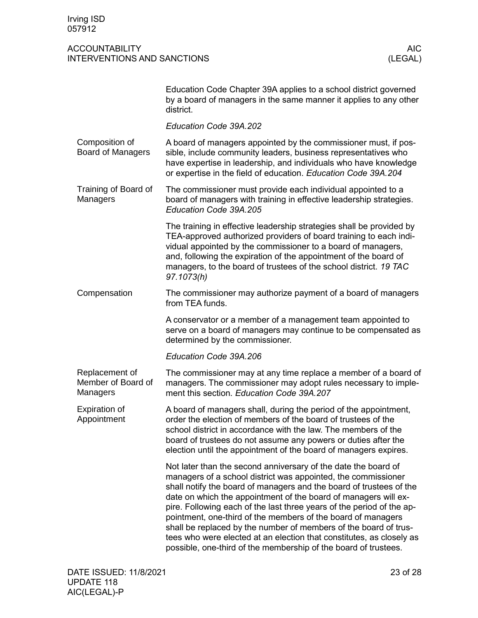<span id="page-22-4"></span><span id="page-22-3"></span><span id="page-22-2"></span><span id="page-22-1"></span><span id="page-22-0"></span>

|                                                  | Education Code Chapter 39A applies to a school district governed<br>by a board of managers in the same manner it applies to any other<br>district.                                                                                                                                                                                                                                                                                                                                                                                                                                                                                |
|--------------------------------------------------|-----------------------------------------------------------------------------------------------------------------------------------------------------------------------------------------------------------------------------------------------------------------------------------------------------------------------------------------------------------------------------------------------------------------------------------------------------------------------------------------------------------------------------------------------------------------------------------------------------------------------------------|
|                                                  | Education Code 39A.202                                                                                                                                                                                                                                                                                                                                                                                                                                                                                                                                                                                                            |
| Composition of<br><b>Board of Managers</b>       | A board of managers appointed by the commissioner must, if pos-<br>sible, include community leaders, business representatives who<br>have expertise in leadership, and individuals who have knowledge<br>or expertise in the field of education. Education Code 39A.204                                                                                                                                                                                                                                                                                                                                                           |
| Training of Board of<br>Managers                 | The commissioner must provide each individual appointed to a<br>board of managers with training in effective leadership strategies.<br>Education Code 39A.205                                                                                                                                                                                                                                                                                                                                                                                                                                                                     |
|                                                  | The training in effective leadership strategies shall be provided by<br>TEA-approved authorized providers of board training to each indi-<br>vidual appointed by the commissioner to a board of managers,<br>and, following the expiration of the appointment of the board of<br>managers, to the board of trustees of the school district. 19 TAC<br>97.1073(h)                                                                                                                                                                                                                                                                  |
| Compensation                                     | The commissioner may authorize payment of a board of managers<br>from TEA funds.                                                                                                                                                                                                                                                                                                                                                                                                                                                                                                                                                  |
|                                                  | A conservator or a member of a management team appointed to<br>serve on a board of managers may continue to be compensated as<br>determined by the commissioner.                                                                                                                                                                                                                                                                                                                                                                                                                                                                  |
|                                                  | Education Code 39A.206                                                                                                                                                                                                                                                                                                                                                                                                                                                                                                                                                                                                            |
| Replacement of<br>Member of Board of<br>Managers | The commissioner may at any time replace a member of a board of<br>managers. The commissioner may adopt rules necessary to imple-<br>ment this section. Education Code 39A.207                                                                                                                                                                                                                                                                                                                                                                                                                                                    |
| <b>Expiration of</b><br>Appointment              | A board of managers shall, during the period of the appointment,<br>order the election of members of the board of trustees of the<br>school district in accordance with the law. The members of the<br>board of trustees do not assume any powers or duties after the<br>election until the appointment of the board of managers expires.                                                                                                                                                                                                                                                                                         |
|                                                  | Not later than the second anniversary of the date the board of<br>managers of a school district was appointed, the commissioner<br>shall notify the board of managers and the board of trustees of the<br>date on which the appointment of the board of managers will ex-<br>pire. Following each of the last three years of the period of the ap-<br>pointment, one-third of the members of the board of managers<br>shall be replaced by the number of members of the board of trus-<br>tees who were elected at an election that constitutes, as closely as<br>possible, one-third of the membership of the board of trustees. |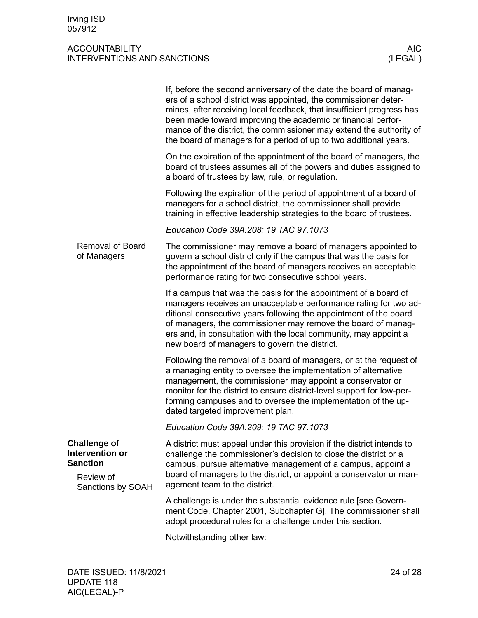<span id="page-23-2"></span><span id="page-23-1"></span><span id="page-23-0"></span>

|                                                           | If, before the second anniversary of the date the board of manag-<br>ers of a school district was appointed, the commissioner deter-<br>mines, after receiving local feedback, that insufficient progress has<br>been made toward improving the academic or financial perfor-<br>mance of the district, the commissioner may extend the authority of<br>the board of managers for a period of up to two additional years. |
|-----------------------------------------------------------|---------------------------------------------------------------------------------------------------------------------------------------------------------------------------------------------------------------------------------------------------------------------------------------------------------------------------------------------------------------------------------------------------------------------------|
|                                                           | On the expiration of the appointment of the board of managers, the<br>board of trustees assumes all of the powers and duties assigned to<br>a board of trustees by law, rule, or regulation.                                                                                                                                                                                                                              |
|                                                           | Following the expiration of the period of appointment of a board of<br>managers for a school district, the commissioner shall provide<br>training in effective leadership strategies to the board of trustees.                                                                                                                                                                                                            |
|                                                           | Education Code 39A.208; 19 TAC 97.1073                                                                                                                                                                                                                                                                                                                                                                                    |
| <b>Removal of Board</b><br>of Managers                    | The commissioner may remove a board of managers appointed to<br>govern a school district only if the campus that was the basis for<br>the appointment of the board of managers receives an acceptable<br>performance rating for two consecutive school years.                                                                                                                                                             |
|                                                           | If a campus that was the basis for the appointment of a board of<br>managers receives an unacceptable performance rating for two ad-<br>ditional consecutive years following the appointment of the board<br>of managers, the commissioner may remove the board of manag-<br>ers and, in consultation with the local community, may appoint a<br>new board of managers to govern the district.                            |
|                                                           | Following the removal of a board of managers, or at the request of<br>a managing entity to oversee the implementation of alternative<br>management, the commissioner may appoint a conservator or<br>monitor for the district to ensure district-level support for low-per-<br>forming campuses and to oversee the implementation of the up-<br>dated targeted improvement plan.                                          |
|                                                           | Education Code 39A.209; 19 TAC 97.1073                                                                                                                                                                                                                                                                                                                                                                                    |
| <b>Challenge of</b><br>Intervention or<br><b>Sanction</b> | A district must appeal under this provision if the district intends to<br>challenge the commissioner's decision to close the district or a<br>campus, pursue alternative management of a campus, appoint a                                                                                                                                                                                                                |
| Review of<br>Sanctions by SOAH                            | board of managers to the district, or appoint a conservator or man-<br>agement team to the district.                                                                                                                                                                                                                                                                                                                      |
|                                                           | A challenge is under the substantial evidence rule [see Govern-<br>ment Code, Chapter 2001, Subchapter G]. The commissioner shall<br>adopt procedural rules for a challenge under this section.                                                                                                                                                                                                                           |
|                                                           | Notwithstanding other law:                                                                                                                                                                                                                                                                                                                                                                                                |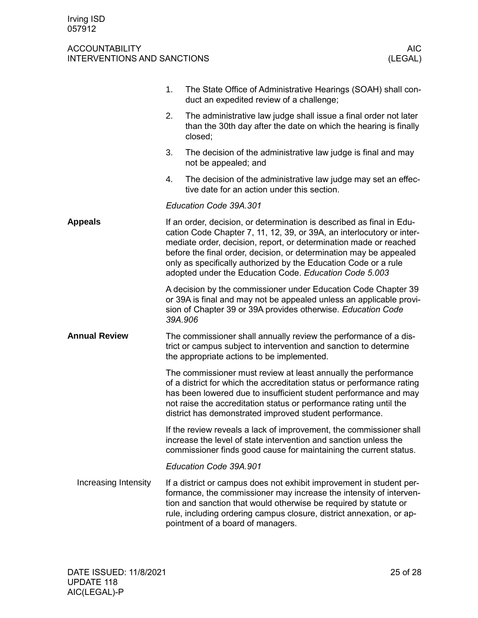<span id="page-24-2"></span><span id="page-24-1"></span><span id="page-24-0"></span>

|                      | 1.      | The State Office of Administrative Hearings (SOAH) shall con-<br>duct an expedited review of a challenge;                                                                                                                                                                                                                                                                                                              |
|----------------------|---------|------------------------------------------------------------------------------------------------------------------------------------------------------------------------------------------------------------------------------------------------------------------------------------------------------------------------------------------------------------------------------------------------------------------------|
|                      | 2.      | The administrative law judge shall issue a final order not later<br>than the 30th day after the date on which the hearing is finally<br>closed;                                                                                                                                                                                                                                                                        |
|                      | 3.      | The decision of the administrative law judge is final and may<br>not be appealed; and                                                                                                                                                                                                                                                                                                                                  |
|                      | 4.      | The decision of the administrative law judge may set an effec-<br>tive date for an action under this section.                                                                                                                                                                                                                                                                                                          |
|                      |         | Education Code 39A.301                                                                                                                                                                                                                                                                                                                                                                                                 |
| <b>Appeals</b>       |         | If an order, decision, or determination is described as final in Edu-<br>cation Code Chapter 7, 11, 12, 39, or 39A, an interlocutory or inter-<br>mediate order, decision, report, or determination made or reached<br>before the final order, decision, or determination may be appealed<br>only as specifically authorized by the Education Code or a rule<br>adopted under the Education Code. Education Code 5.003 |
|                      | 39A.906 | A decision by the commissioner under Education Code Chapter 39<br>or 39A is final and may not be appealed unless an applicable provi-<br>sion of Chapter 39 or 39A provides otherwise. Education Code                                                                                                                                                                                                                  |
| <b>Annual Review</b> |         | The commissioner shall annually review the performance of a dis-<br>trict or campus subject to intervention and sanction to determine<br>the appropriate actions to be implemented.                                                                                                                                                                                                                                    |
|                      |         | The commissioner must review at least annually the performance<br>of a district for which the accreditation status or performance rating<br>has been lowered due to insufficient student performance and may<br>not raise the accreditation status or performance rating until the<br>district has demonstrated improved student performance.                                                                          |
|                      |         | If the review reveals a lack of improvement, the commissioner shall<br>increase the level of state intervention and sanction unless the<br>commissioner finds good cause for maintaining the current status.                                                                                                                                                                                                           |
|                      |         | Education Code 39A.901                                                                                                                                                                                                                                                                                                                                                                                                 |
| Increasing Intensity |         | If a district or campus does not exhibit improvement in student per-<br>formance, the commissioner may increase the intensity of interven-<br>tion and sanction that would otherwise be required by statute or<br>rule, including ordering campus closure, district annexation, or ap-<br>pointment of a board of managers.                                                                                            |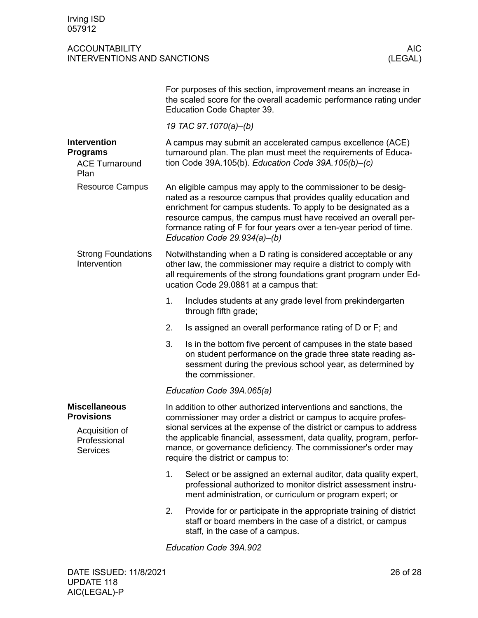<span id="page-25-5"></span><span id="page-25-4"></span><span id="page-25-3"></span><span id="page-25-2"></span><span id="page-25-1"></span><span id="page-25-0"></span>

|                                                                                                |                        | For purposes of this section, improvement means an increase in<br>the scaled score for the overall academic performance rating under<br>Education Code Chapter 39.                                                                                                                                                                                                                       |  |  |  |  |
|------------------------------------------------------------------------------------------------|------------------------|------------------------------------------------------------------------------------------------------------------------------------------------------------------------------------------------------------------------------------------------------------------------------------------------------------------------------------------------------------------------------------------|--|--|--|--|
|                                                                                                |                        | 19 TAC 97.1070(a)-(b)                                                                                                                                                                                                                                                                                                                                                                    |  |  |  |  |
| <b>Intervention</b><br><b>Programs</b><br><b>ACE Turnaround</b><br>Plan                        |                        | A campus may submit an accelerated campus excellence (ACE)<br>turnaround plan. The plan must meet the requirements of Educa-<br>tion Code 39A.105(b). Education Code 39A.105(b)-(c)                                                                                                                                                                                                      |  |  |  |  |
| <b>Resource Campus</b>                                                                         |                        | An eligible campus may apply to the commissioner to be desig-<br>nated as a resource campus that provides quality education and<br>enrichment for campus students. To apply to be designated as a<br>resource campus, the campus must have received an overall per-<br>formance rating of F for four years over a ten-year period of time.<br>Education Code 29.934(a)-(b)               |  |  |  |  |
| <b>Strong Foundations</b><br>Intervention                                                      |                        | Notwithstanding when a D rating is considered acceptable or any<br>other law, the commissioner may require a district to comply with<br>all requirements of the strong foundations grant program under Ed-<br>ucation Code 29.0881 at a campus that:                                                                                                                                     |  |  |  |  |
|                                                                                                | 1.                     | Includes students at any grade level from prekindergarten<br>through fifth grade;                                                                                                                                                                                                                                                                                                        |  |  |  |  |
|                                                                                                | 2.                     | Is assigned an overall performance rating of D or F; and                                                                                                                                                                                                                                                                                                                                 |  |  |  |  |
|                                                                                                | 3.                     | Is in the bottom five percent of campuses in the state based<br>on student performance on the grade three state reading as-<br>sessment during the previous school year, as determined by<br>the commissioner.                                                                                                                                                                           |  |  |  |  |
|                                                                                                |                        | Education Code 39A.065(a)                                                                                                                                                                                                                                                                                                                                                                |  |  |  |  |
| <b>Miscellaneous</b><br><b>Provisions</b><br>Acquisition of<br>Professional<br><b>Services</b> |                        | In addition to other authorized interventions and sanctions, the<br>commissioner may order a district or campus to acquire profes-<br>sional services at the expense of the district or campus to address<br>the applicable financial, assessment, data quality, program, perfor-<br>mance, or governance deficiency. The commissioner's order may<br>require the district or campus to: |  |  |  |  |
|                                                                                                | 1.                     | Select or be assigned an external auditor, data quality expert,<br>professional authorized to monitor district assessment instru-<br>ment administration, or curriculum or program expert; or                                                                                                                                                                                            |  |  |  |  |
|                                                                                                | 2.                     | Provide for or participate in the appropriate training of district<br>staff or board members in the case of a district, or campus<br>staff, in the case of a campus.                                                                                                                                                                                                                     |  |  |  |  |
|                                                                                                | Education Code 39A.902 |                                                                                                                                                                                                                                                                                                                                                                                          |  |  |  |  |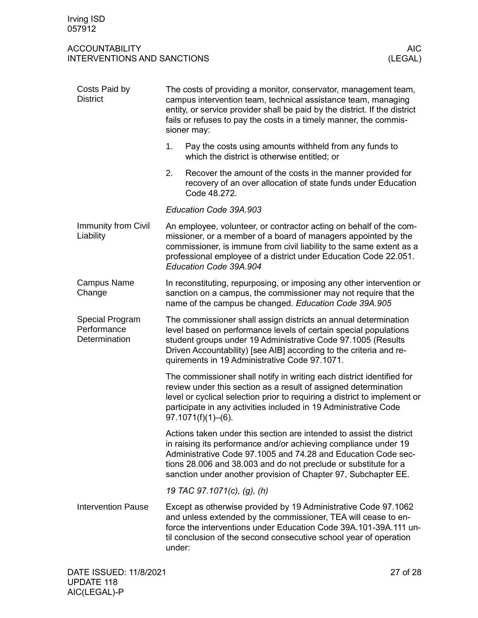<span id="page-26-4"></span><span id="page-26-3"></span><span id="page-26-2"></span><span id="page-26-1"></span><span id="page-26-0"></span>

| Costs Paid by<br><b>District</b>                | The costs of providing a monitor, conservator, management team,<br>campus intervention team, technical assistance team, managing<br>entity, or service provider shall be paid by the district. If the district<br>fails or refuses to pay the costs in a timely manner, the commis-<br>sioner may:                                            |
|-------------------------------------------------|-----------------------------------------------------------------------------------------------------------------------------------------------------------------------------------------------------------------------------------------------------------------------------------------------------------------------------------------------|
|                                                 | 1.<br>Pay the costs using amounts withheld from any funds to<br>which the district is otherwise entitled; or                                                                                                                                                                                                                                  |
|                                                 | 2.<br>Recover the amount of the costs in the manner provided for<br>recovery of an over allocation of state funds under Education<br>Code 48.272.                                                                                                                                                                                             |
|                                                 | Education Code 39A.903                                                                                                                                                                                                                                                                                                                        |
| Immunity from Civil<br>Liability                | An employee, volunteer, or contractor acting on behalf of the com-<br>missioner, or a member of a board of managers appointed by the<br>commissioner, is immune from civil liability to the same extent as a<br>professional employee of a district under Education Code 22.051.<br>Education Code 39A.904                                    |
| <b>Campus Name</b><br>Change                    | In reconstituting, repurposing, or imposing any other intervention or<br>sanction on a campus, the commissioner may not require that the<br>name of the campus be changed. Education Code 39A.905                                                                                                                                             |
| Special Program<br>Performance<br>Determination | The commissioner shall assign districts an annual determination<br>level based on performance levels of certain special populations<br>student groups under 19 Administrative Code 97.1005 (Results<br>Driven Accountability) [see AIB] according to the criteria and re-<br>quirements in 19 Administrative Code 97.1071.                    |
|                                                 | The commissioner shall notify in writing each district identified for<br>review under this section as a result of assigned determination<br>level or cyclical selection prior to requiring a district to implement or<br>participate in any activities included in 19 Administrative Code<br>97.1071(f)(1)–(6).                               |
|                                                 | Actions taken under this section are intended to assist the district<br>in raising its performance and/or achieving compliance under 19<br>Administrative Code 97.1005 and 74.28 and Education Code sec-<br>tions 28.006 and 38.003 and do not preclude or substitute for a<br>sanction under another provision of Chapter 97, Subchapter EE. |
|                                                 | 19 TAC 97.1071(c), (g), (h)                                                                                                                                                                                                                                                                                                                   |
| <b>Intervention Pause</b>                       | Except as otherwise provided by 19 Administrative Code 97.1062<br>and unless extended by the commissioner, TEA will cease to en-<br>force the interventions under Education Code 39A.101-39A.111 un-<br>til conclusion of the second consecutive school year of operation<br>under:                                                           |